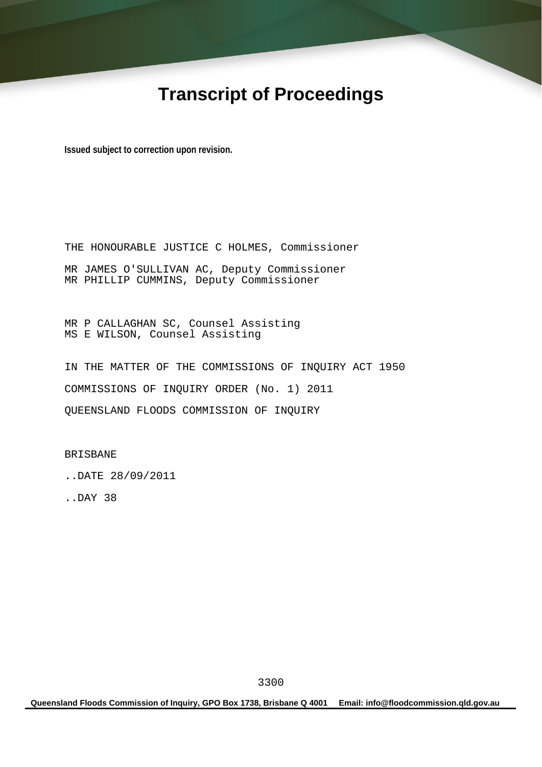# **Transcript of Proceedings**

**Issued subject to correction upon revision.** 

THE HONOURABLE JUSTICE C HOLMES, Commissioner MR JAMES O'SULLIVAN AC, Deputy Commissioner MR PHILLIP CUMMINS, Deputy Commissioner

MR P CALLAGHAN SC, Counsel Assisting MS E WILSON, Counsel Assisting

IN THE MATTER OF THE COMMISSIONS OF INQUIRY ACT 1950 COMMISSIONS OF INQUIRY ORDER (No. 1) 2011 QUEENSLAND FLOODS COMMISSION OF INQUIRY

BRISBANE

..DATE 28/09/2011

..DAY 38

**Queensland Floods Commission of Inquiry, GPO Box 1738, Brisbane Q 4001 Email: info@floodcommission.qld.gov.au**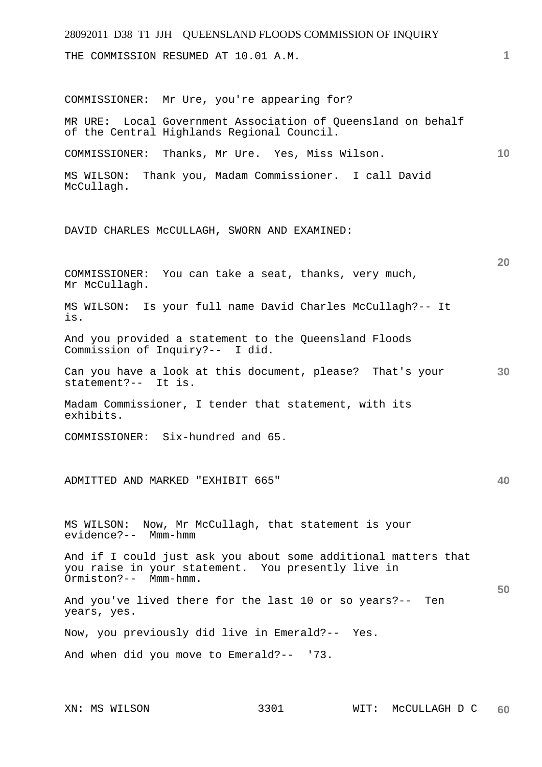| 28092011 D38 T1 JJH QUEENSLAND FLOODS COMMISSION OF INQUIRY                                                                                  |    |
|----------------------------------------------------------------------------------------------------------------------------------------------|----|
| THE COMMISSION RESUMED AT 10.01 A.M.                                                                                                         | 1  |
| COMMISSIONER: Mr Ure, you're appearing for?                                                                                                  |    |
| MR URE: Local Government Association of Queensland on behalf<br>of the Central Highlands Regional Council.                                   |    |
| Thanks, Mr Ure. Yes, Miss Wilson.<br>COMMISSIONER:                                                                                           | 10 |
| Thank you, Madam Commissioner. I call David<br>MS WILSON:<br>McCullagh.                                                                      |    |
| DAVID CHARLES MCCULLAGH, SWORN AND EXAMINED:                                                                                                 |    |
| You can take a seat, thanks, very much,<br>COMMISSIONER:<br>Mr McCullagh.                                                                    | 20 |
| Is your full name David Charles McCullagh?-- It<br>MS WILSON:<br>is.                                                                         |    |
| And you provided a statement to the Queensland Floods<br>Commission of Inquiry?-- I did.                                                     |    |
| Can you have a look at this document, please? That's your<br>statement?-- It is.                                                             | 30 |
| Madam Commissioner, I tender that statement, with its<br>exhibits.                                                                           |    |
| COMMISSIONER: Six-hundred and 65.                                                                                                            |    |
| ADMITTED AND MARKED "EXHIBIT 665"                                                                                                            | 40 |
| MS WILSON: Now, Mr McCullagh, that statement is your<br>evidence?-- Mmm-hmm                                                                  |    |
| And if I could just ask you about some additional matters that<br>you raise in your statement. You presently live in<br>Ormiston?-- Mmm-hmm. |    |
| And you've lived there for the last 10 or so years?--<br>Ten<br>years, yes.                                                                  | 50 |
| Now, you previously did live in Emerald?-- Yes.                                                                                              |    |
| And when did you move to Emerald?-- '73.                                                                                                     |    |
|                                                                                                                                              |    |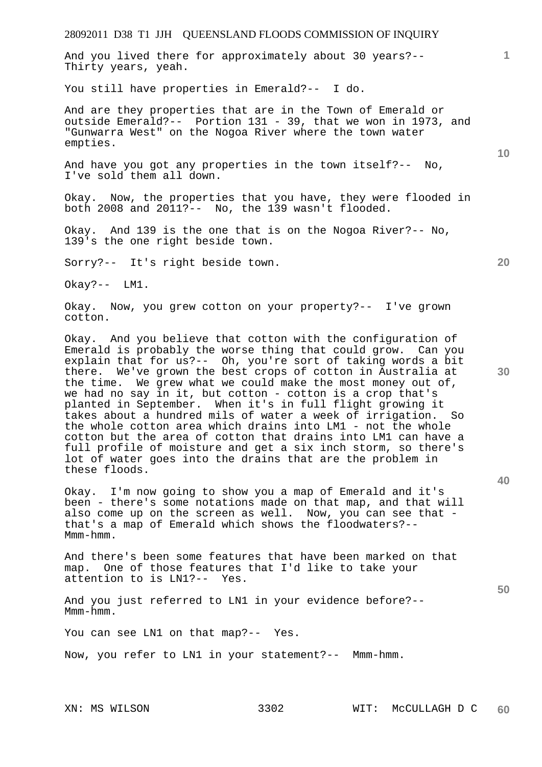28092011 D38 T1 JJH QUEENSLAND FLOODS COMMISSION OF INQUIRY **10 20 30 40 50**  And you lived there for approximately about 30 years?-- Thirty years, yeah. You still have properties in Emerald?-- I do. And are they properties that are in the Town of Emerald or outside Emerald?-- Portion 131 - 39, that we won in 1973, and "Gunwarra West" on the Nogoa River where the town water empties. And have you got any properties in the town itself?-- No, I've sold them all down. Okay. Now, the properties that you have, they were flooded in both 2008 and 2011?-- No, the 139 wasn't flooded. Okay. And 139 is the one that is on the Nogoa River?-- No, 139's the one right beside town. Sorry?-- It's right beside town. Okay?-- LM1. Okay. Now, you grew cotton on your property?-- I've grown cotton. Okay. And you believe that cotton with the configuration of Emerald is probably the worse thing that could grow. Can you explain that for us?-- Oh, you're sort of taking words a bit there. We've grown the best crops of cotton in Australia at the time. We grew what we could make the most money out of, we had no say in it, but cotton - cotton is a crop that's planted in September. When it's in full flight growing it takes about a hundred mils of water a week of irrigation. So the whole cotton area which drains into LM1 - not the whole cotton but the area of cotton that drains into LM1 can have a full profile of moisture and get a six inch storm, so there's lot of water goes into the drains that are the problem in these floods. Okay. I'm now going to show you a map of Emerald and it's been - there's some notations made on that map, and that will also come up on the screen as well. Now, you can see that that's a map of Emerald which shows the floodwaters?-- Mmm-hmm. And there's been some features that have been marked on that map. One of those features that I'd like to take your attention to is LN1?-- Yes. And you just referred to LN1 in your evidence before?-- Mmm-hmm. You can see LN1 on that map?-- Yes.

Now, you refer to LN1 in your statement?-- Mmm-hmm.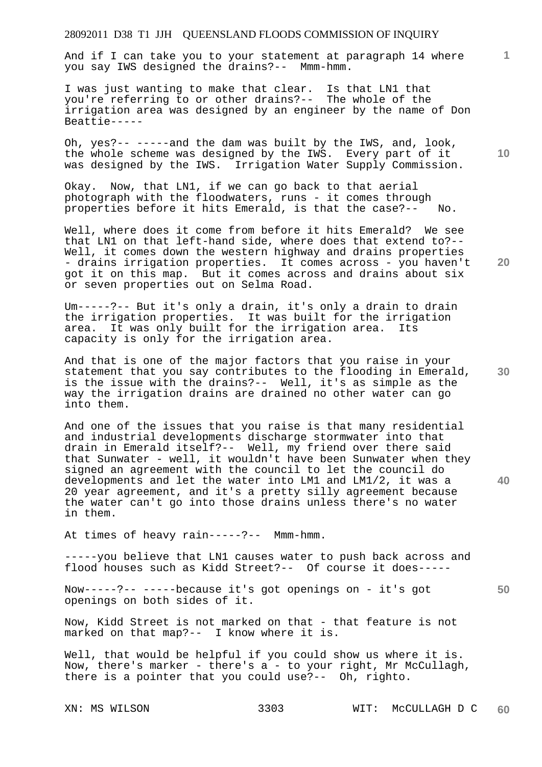And if I can take you to your statement at paragraph 14 where you say IWS designed the drains?-- Mmm-hmm.

I was just wanting to make that clear. Is that LN1 that you're referring to or other drains?-- The whole of the irrigation area was designed by an engineer by the name of Don Beattie-----

Oh, yes?-- -----and the dam was built by the IWS, and, look, the whole scheme was designed by the IWS. Every part of it was designed by the IWS. Irrigation Water Supply Commission.

Okay. Now, that LN1, if we can go back to that aerial photograph with the floodwaters, runs - it comes through properties before it hits Emerald, is that the case?-- No.

Well, where does it come from before it hits Emerald? We see that LN1 on that left-hand side, where does that extend to?-- Well, it comes down the western highway and drains properties - drains irrigation properties. It comes across - you haven't got it on this map. But it comes across and drains about six or seven properties out on Selma Road.

Um-----?-- But it's only a drain, it's only a drain to drain the irrigation properties. It was built for the irrigation area. It was only built for the irrigation area. Its capacity is only for the irrigation area.

And that is one of the major factors that you raise in your statement that you say contributes to the flooding in Emerald, is the issue with the drains?-- Well, it's as simple as the way the irrigation drains are drained no other water can go into them.

And one of the issues that you raise is that many residential and industrial developments discharge stormwater into that drain in Emerald itself?-- Well, my friend over there said that Sunwater - well, it wouldn't have been Sunwater when they signed an agreement with the council to let the council do developments and let the water into LM1 and LM1/2, it was a 20 year agreement, and it's a pretty silly agreement because the water can't go into those drains unless there's no water in them.

At times of heavy rain-----?-- Mmm-hmm.

-----you believe that LN1 causes water to push back across and flood houses such as Kidd Street?-- Of course it does-----

Now-----?-- -----because it's got openings on - it's got openings on both sides of it.

Now, Kidd Street is not marked on that - that feature is not marked on that map?-- I know where it is.

Well, that would be helpful if you could show us where it is. Now, there's marker - there's a - to your right, Mr McCullagh, there is a pointer that you could use?-- Oh, righto.

**10** 

**1**

**20** 

**30**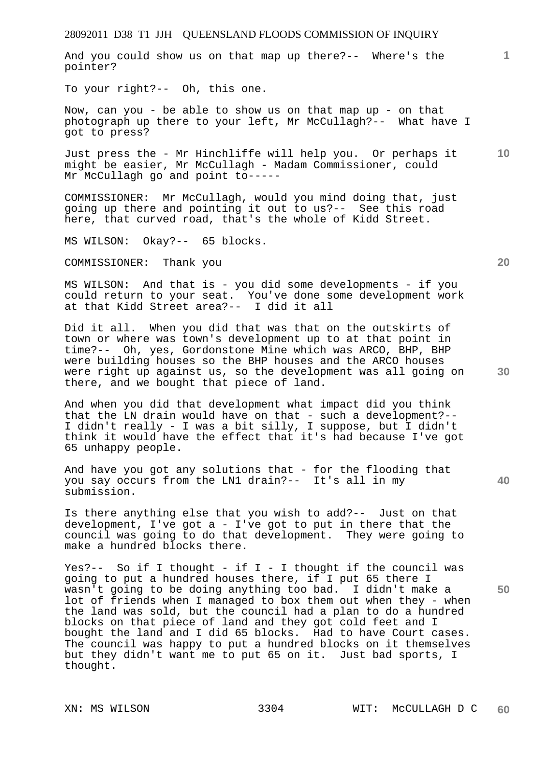And you could show us on that map up there?-- Where's the pointer?

To your right?-- Oh, this one.

Now, can you - be able to show us on that map up - on that photograph up there to your left, Mr McCullagh?-- What have I got to press?

Just press the - Mr Hinchliffe will help you. Or perhaps it might be easier, Mr McCullagh - Madam Commissioner, could Mr McCullagh go and point to-----

COMMISSIONER: Mr McCullagh, would you mind doing that, just going up there and pointing it out to us?-- See this road here, that curved road, that's the whole of Kidd Street.

MS WILSON: Okay?-- 65 blocks.

COMMISSIONER: Thank you

MS WILSON: And that is - you did some developments - if you could return to your seat. You've done some development work at that Kidd Street area?-- I did it all

Did it all. When you did that was that on the outskirts of town or where was town's development up to at that point in time?-- Oh, yes, Gordonstone Mine which was ARCO, BHP, BHP were building houses so the BHP houses and the ARCO houses were right up against us, so the development was all going on there, and we bought that piece of land.

And when you did that development what impact did you think that the LN drain would have on that - such a development?--I didn't really - I was a bit silly, I suppose, but I didn't think it would have the effect that it's had because I've got 65 unhappy people.

And have you got any solutions that - for the flooding that you say occurs from the LN1 drain?-- It's all in my submission.

Is there anything else that you wish to add?-- Just on that development, I've got a - I've got to put in there that the council was going to do that development. They were going to make a hundred blocks there.

Yes?-- So if I thought - if I - I thought if the council was going to put a hundred houses there, if I put 65 there I wasn't going to be doing anything too bad. I didn't make a lot of friends when I managed to box them out when they - when the land was sold, but the council had a plan to do a hundred blocks on that piece of land and they got cold feet and I bought the land and I did 65 blocks. Had to have Court cases. The council was happy to put a hundred blocks on it themselves but they didn't want me to put 65 on it. Just bad sports, I thought.

**20** 

**40** 

**50** 

**10**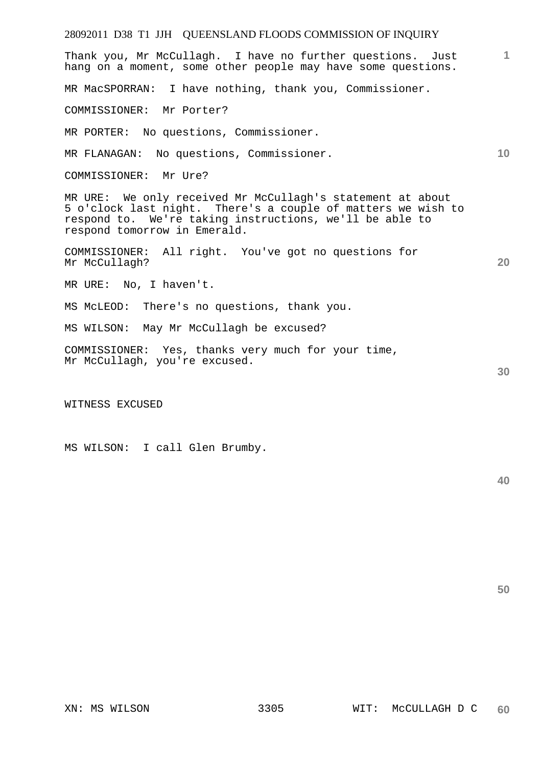| 28092011 D38 T1 JJH QUEENSLAND FLOODS COMMISSION OF INQUIRY                                                                                                                                                           |              |
|-----------------------------------------------------------------------------------------------------------------------------------------------------------------------------------------------------------------------|--------------|
| Thank you, Mr McCullagh. I have no further questions. Just<br>hang on a moment, some other people may have some questions.                                                                                            | $\mathbf{1}$ |
| MR MacSPORRAN: I have nothing, thank you, Commissioner.                                                                                                                                                               |              |
| COMMISSIONER: Mr Porter?                                                                                                                                                                                              |              |
| MR PORTER: No questions, Commissioner.                                                                                                                                                                                |              |
| MR FLANAGAN: No questions, Commissioner.                                                                                                                                                                              | 10           |
| COMMISSIONER: Mr Ure?                                                                                                                                                                                                 |              |
| MR URE: We only received Mr McCullagh's statement at about<br>5 o'clock last night. There's a couple of matters we wish to<br>respond to. We're taking instructions, we'll be able to<br>respond tomorrow in Emerald. |              |
| COMMISSIONER: All right. You've got no questions for<br>Mr McCullagh?                                                                                                                                                 | 20           |
| MR URE: No, I haven't.                                                                                                                                                                                                |              |
| MS McLEOD: There's no questions, thank you.                                                                                                                                                                           |              |
| MS WILSON: May Mr McCullagh be excused?                                                                                                                                                                               |              |
| COMMISSIONER: Yes, thanks very much for your time,<br>Mr McCullagh, you're excused.                                                                                                                                   | 30           |
| WITNESS EXCUSED                                                                                                                                                                                                       |              |

MS WILSON: I call Glen Brumby.

**50**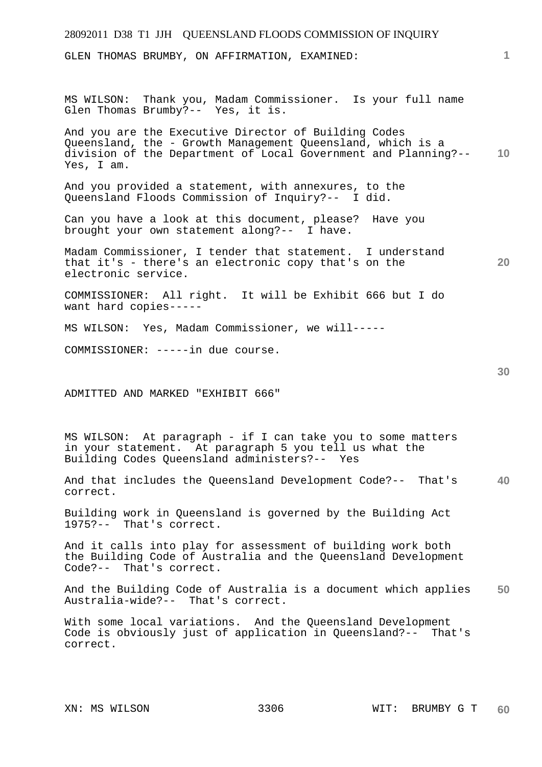## 28092011 D38 T1 JJH QUEENSLAND FLOODS COMMISSION OF INQUIRY **1 10 20 30 40 50**  GLEN THOMAS BRUMBY, ON AFFIRMATION, EXAMINED: MS WILSON: Thank you, Madam Commissioner. Is your full name Glen Thomas Brumby?-- Yes, it is. And you are the Executive Director of Building Codes Queensland, the - Growth Management Queensland, which is a division of the Department of Local Government and Planning?-- Yes, I am. And you provided a statement, with annexures, to the Queensland Floods Commission of Inquiry?-- I did. Can you have a look at this document, please? Have you brought your own statement along?-- I have. Madam Commissioner, I tender that statement. I understand that it's - there's an electronic copy that's on the electronic service. COMMISSIONER: All right. It will be Exhibit 666 but I do want hard copies----- MS WILSON: Yes, Madam Commissioner, we will----- COMMISSIONER: -----in due course. ADMITTED AND MARKED "EXHIBIT 666" MS WILSON: At paragraph - if I can take you to some matters in your statement. At paragraph 5 you tell us what the Building Codes Queensland administers?-- Yes And that includes the Queensland Development Code?-- That's correct. Building work in Queensland is governed by the Building Act 1975?-- That's correct. And it calls into play for assessment of building work both the Building Code of Australia and the Queensland Development Code?-- That's correct. And the Building Code of Australia is a document which applies Australia-wide?-- That's correct. With some local variations. And the Queensland Development Code is obviously just of application in Queensland?-- That's correct.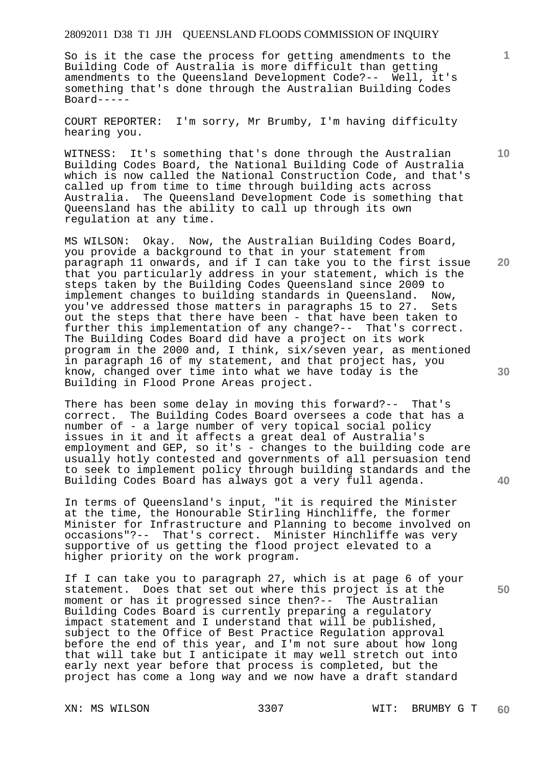So is it the case the process for getting amendments to the Building Code of Australia is more difficult than getting amendments to the Queensland Development Code?-- Well, it's something that's done through the Australian Building Codes Board-----

COURT REPORTER: I'm sorry, Mr Brumby, I'm having difficulty hearing you.

WITNESS: It's something that's done through the Australian Building Codes Board, the National Building Code of Australia which is now called the National Construction Code, and that's called up from time to time through building acts across Australia. The Queensland Development Code is something that Queensland has the ability to call up through its own regulation at any time.

MS WILSON: Okay. Now, the Australian Building Codes Board, you provide a background to that in your statement from paragraph 11 onwards, and if I can take you to the first issue that you particularly address in your statement, which is the steps taken by the Building Codes Queensland since 2009 to implement changes to building standards in Queensland. Now, you've addressed those matters in paragraphs 15 to 27. Sets out the steps that there have been - that have been taken to further this implementation of any change?-- That's correct. The Building Codes Board did have a project on its work program in the 2000 and, I think, six/seven year, as mentioned in paragraph 16 of my statement, and that project has, you know, changed over time into what we have today is the Building in Flood Prone Areas project.

There has been some delay in moving this forward?-- That's correct. The Building Codes Board oversees a code that has a number of - a large number of very topical social policy issues in it and it affects a great deal of Australia's employment and GEP, so it's - changes to the building code are usually hotly contested and governments of all persuasion tend to seek to implement policy through building standards and the Building Codes Board has always got a very full agenda.

In terms of Queensland's input, "it is required the Minister at the time, the Honourable Stirling Hinchliffe, the former Minister for Infrastructure and Planning to become involved on occasions"?-- That's correct. Minister Hinchliffe was very supportive of us getting the flood project elevated to a higher priority on the work program.

If I can take you to paragraph 27, which is at page 6 of your statement. Does that set out where this project is at the moment or has it progressed since then?-- The Australian Building Codes Board is currently preparing a regulatory impact statement and I understand that will be published, subject to the Office of Best Practice Regulation approval before the end of this year, and I'm not sure about how long that will take but I anticipate it may well stretch out into early next year before that process is completed, but the project has come a long way and we now have a draft standard

**10** 

**1**

**20** 

**40**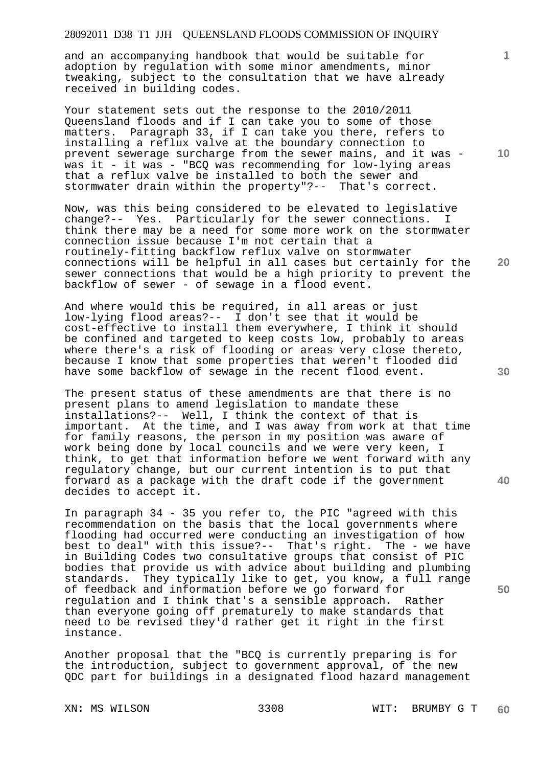and an accompanying handbook that would be suitable for adoption by regulation with some minor amendments, minor tweaking, subject to the consultation that we have already received in building codes.

Your statement sets out the response to the 2010/2011 Queensland floods and if I can take you to some of those matters. Paragraph 33, if I can take you there, refers to installing a reflux valve at the boundary connection to prevent sewerage surcharge from the sewer mains, and it was was it - it was - "BCQ was recommending for low-lying areas that a reflux valve be installed to both the sewer and stormwater drain within the property"?-- That's correct.

Now, was this being considered to be elevated to legislative change?-- Yes. Particularly for the sewer connections. I think there may be a need for some more work on the stormwater connection issue because I'm not certain that a routinely-fitting backflow reflux valve on stormwater connections will be helpful in all cases but certainly for the sewer connections that would be a high priority to prevent the backflow of sewer - of sewage in a flood event.

And where would this be required, in all areas or just low-lying flood areas?-- I don't see that it would be cost-effective to install them everywhere, I think it should be confined and targeted to keep costs low, probably to areas where there's a risk of flooding or areas very close thereto, because I know that some properties that weren't flooded did have some backflow of sewage in the recent flood event.

The present status of these amendments are that there is no present plans to amend legislation to mandate these installations?-- Well, I think the context of that is important. At the time, and I was away from work at that time for family reasons, the person in my position was aware of work being done by local councils and we were very keen, I think, to get that information before we went forward with any regulatory change, but our current intention is to put that forward as a package with the draft code if the government decides to accept it.

In paragraph 34 - 35 you refer to, the PIC "agreed with this recommendation on the basis that the local governments where flooding had occurred were conducting an investigation of how best to deal" with this issue?-- That's right. The - we have in Building Codes two consultative groups that consist of PIC bodies that provide us with advice about building and plumbing standards. They typically like to get, you know, a full range of feedback and information before we go forward for regulation and I think that's a sensible approach. Rather than everyone going off prematurely to make standards that need to be revised they'd rather get it right in the first instance.

Another proposal that the "BCQ is currently preparing is for the introduction, subject to government approval, of the new QDC part for buildings in a designated flood hazard management

**10** 

**1**

**20** 

**40**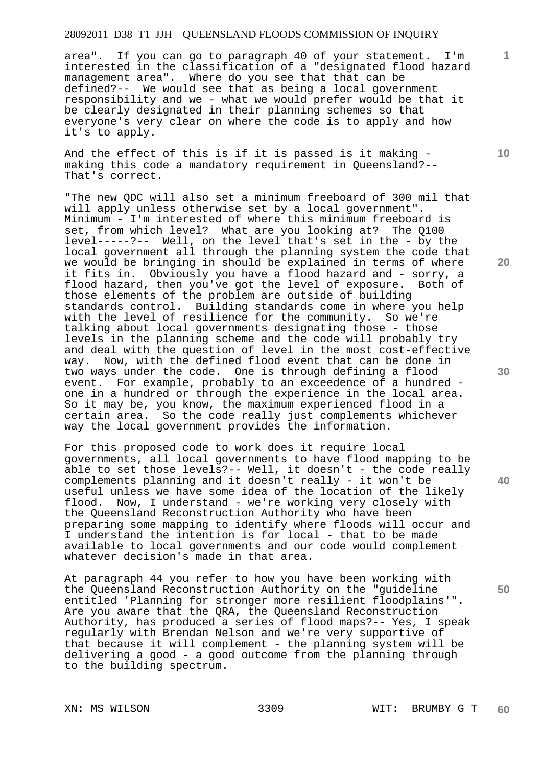area". If you can go to paragraph 40 of your statement. I'm interested in the classification of a "designated flood hazard management area". Where do you see that that can be defined?-- We would see that as being a local government responsibility and we - what we would prefer would be that it be clearly designated in their planning schemes so that everyone's very clear on where the code is to apply and how it's to apply.

And the effect of this is if it is passed is it making making this code a mandatory requirement in Queensland?-- That's correct.

"The new QDC will also set a minimum freeboard of 300 mil that will apply unless otherwise set by a local government". Minimum - I'm interested of where this minimum freeboard is set, from which level? What are you looking at? The Q100 level-----?-- Well, on the level that's set in the - by the local government all through the planning system the code that we would be bringing in should be explained in terms of where it fits in. Obviously you have a flood hazard and - sorry, a<br>flood hazard, then you've got the level of exposure. Both of flood hazard, then you've got the level of exposure. those elements of the problem are outside of building standards control. Building standards come in where you help with the level of resilience for the community. So we're talking about local governments designating those - those levels in the planning scheme and the code will probably try and deal with the question of level in the most cost-effective way. Now, with the defined flood event that can be done in two ways under the code. One is through defining a flood event. For example, probably to an exceedence of a hundred one in a hundred or through the experience in the local area. So it may be, you know, the maximum experienced flood in a certain area. So the code really just complements whichever way the local government provides the information.

For this proposed code to work does it require local governments, all local governments to have flood mapping to be able to set those levels?-- Well, it doesn't - the code really complements planning and it doesn't really - it won't be useful unless we have some idea of the location of the likely<br>flood. Now, I understand - we're working very closely with Now, I understand - we're working very closely with the Queensland Reconstruction Authority who have been preparing some mapping to identify where floods will occur and I understand the intention is for local - that to be made available to local governments and our code would complement whatever decision's made in that area.

At paragraph 44 you refer to how you have been working with the Queensland Reconstruction Authority on the "guideline entitled 'Planning for stronger more resilient floodplains'". Are you aware that the QRA, the Queensland Reconstruction Authority, has produced a series of flood maps?-- Yes, I speak regularly with Brendan Nelson and we're very supportive of that because it will complement - the planning system will be delivering a good - a good outcome from the planning through to the building spectrum.

**10** 

**1**

**20** 

**30** 

**50**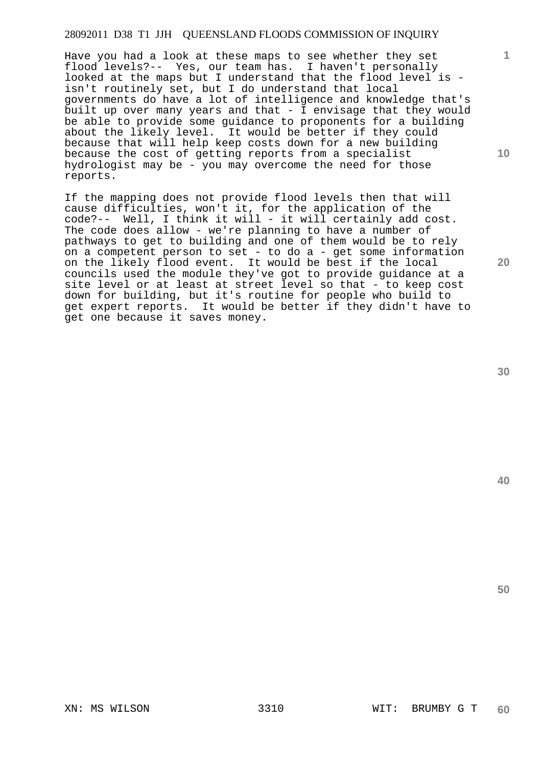Have you had a look at these maps to see whether they set flood levels?-- Yes, our team has. I haven't personally looked at the maps but I understand that the flood level is isn't routinely set, but I do understand that local governments do have a lot of intelligence and knowledge that's built up over many years and that - I envisage that they would be able to provide some guidance to proponents for a building about the likely level. It would be better if they could because that will help keep costs down for a new building because the cost of getting reports from a specialist hydrologist may be - you may overcome the need for those reports.

If the mapping does not provide flood levels then that will cause difficulties, won't it, for the application of the code?-- Well, I think it will - it will certainly add cost. The code does allow - we're planning to have a number of pathways to get to building and one of them would be to rely on a competent person to set - to do a - get some information on the likely flood event. It would be best if the local councils used the module they've got to provide guidance at a site level or at least at street level so that - to keep cost down for building, but it's routine for people who build to get expert reports. It would be better if they didn't have to get one because it saves money.

**30** 

**40** 

**50** 

**1**

**10**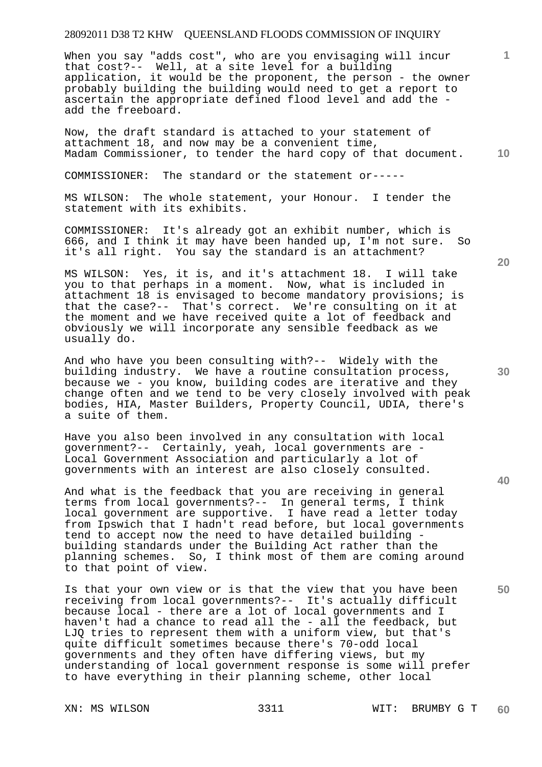When you say "adds cost", who are you envisaging will incur that cost?-- Well, at a site level for a building application, it would be the proponent, the person - the owner probably building the building would need to get a report to ascertain the appropriate defined flood level and add the add the freeboard.

**10**  Now, the draft standard is attached to your statement of attachment 18, and now may be a convenient time, Madam Commissioner, to tender the hard copy of that document.

COMMISSIONER: The standard or the statement or-----

MS WILSON: The whole statement, your Honour. I tender the statement with its exhibits.

COMMISSIONER: It's already got an exhibit number, which is 666, and I think it may have been handed up, I'm not sure. So it's all right. You say the standard is an attachment?

MS WILSON: Yes, it is, and it's attachment 18. I will take you to that perhaps in a moment. Now, what is included in attachment 18 is envisaged to become mandatory provisions; is that the case?-- That's correct. We're consulting on it at the moment and we have received quite a lot of feedback and obviously we will incorporate any sensible feedback as we usually do.

And who have you been consulting with?-- Widely with the building industry. We have a routine consultation process, because we - you know, building codes are iterative and they change often and we tend to be very closely involved with peak bodies, HIA, Master Builders, Property Council, UDIA, there's a suite of them.

Have you also been involved in any consultation with local government?-- Certainly, yeah, local governments are - Local Government Association and particularly a lot of governments with an interest are also closely consulted.

And what is the feedback that you are receiving in general terms from local governments?-- In general terms, I think local government are supportive. I have read a letter today from Ipswich that I hadn't read before, but local governments tend to accept now the need to have detailed building building standards under the Building Act rather than the planning schemes. So, I think most of them are coming around to that point of view.

Is that your own view or is that the view that you have been receiving from local governments?-- It's actually difficult because local - there are a lot of local governments and I haven't had a chance to read all the - all the feedback, but LJQ tries to represent them with a uniform view, but that's quite difficult sometimes because there's 70-odd local governments and they often have differing views, but my understanding of local government response is some will prefer to have everything in their planning scheme, other local

**20** 

**1**

**40**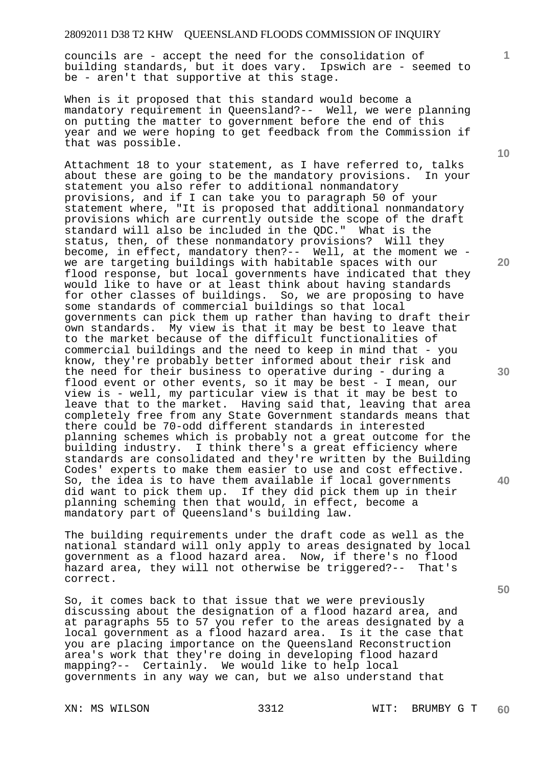councils are - accept the need for the consolidation of building standards, but it does vary. Ipswich are - seemed to be - aren't that supportive at this stage.

When is it proposed that this standard would become a mandatory requirement in Queensland?-- Well, we were planning on putting the matter to government before the end of this year and we were hoping to get feedback from the Commission if that was possible.

Attachment 18 to your statement, as I have referred to, talks about these are going to be the mandatory provisions. In your statement you also refer to additional nonmandatory provisions, and if I can take you to paragraph 50 of your statement where, "It is proposed that additional nonmandatory provisions which are currently outside the scope of the draft standard will also be included in the QDC." What is the status, then, of these nonmandatory provisions? Will they become, in effect, mandatory then?-- Well, at the moment we we are targeting buildings with habitable spaces with our flood response, but local governments have indicated that they would like to have or at least think about having standards for other classes of buildings. So, we are proposing to have some standards of commercial buildings so that local governments can pick them up rather than having to draft their own standards. My view is that it may be best to leave that to the market because of the difficult functionalities of commercial buildings and the need to keep in mind that - you know, they're probably better informed about their risk and the need for their business to operative during - during a flood event or other events, so it may be best - I mean, our view is - well, my particular view is that it may be best to leave that to the market. Having said that, leaving that area completely free from any State Government standards means that there could be 70-odd different standards in interested planning schemes which is probably not a great outcome for the building industry. I think there's a great efficiency where standards are consolidated and they're written by the Building Codes' experts to make them easier to use and cost effective. So, the idea is to have them available if local governments did want to pick them up. If they did pick them up in their planning scheming then that would, in effect, become a mandatory part of Queensland's building law.

The building requirements under the draft code as well as the national standard will only apply to areas designated by local government as a flood hazard area. Now, if there's no flood hazard area, they will not otherwise be triggered?-- That's correct.

So, it comes back to that issue that we were previously discussing about the designation of a flood hazard area, and at paragraphs 55 to 57 you refer to the areas designated by a local government as a flood hazard area. Is it the case that you are placing importance on the Queensland Reconstruction area's work that they're doing in developing flood hazard mapping?-- Certainly. We would like to help local governments in any way we can, but we also understand that

**10** 

**1**

**20** 

**30** 

**40**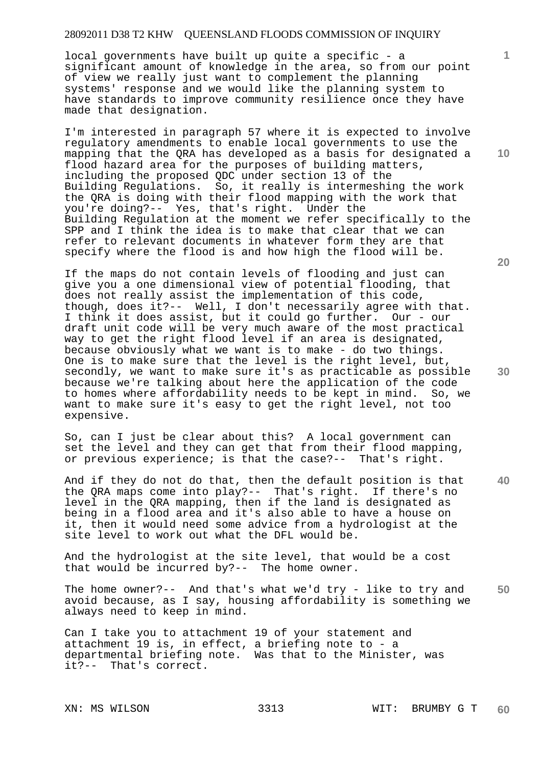local governments have built up quite a specific - a significant amount of knowledge in the area, so from our point of view we really just want to complement the planning systems' response and we would like the planning system to have standards to improve community resilience once they have made that designation.

I'm interested in paragraph 57 where it is expected to involve regulatory amendments to enable local governments to use the mapping that the QRA has developed as a basis for designated a flood hazard area for the purposes of building matters, including the proposed QDC under section 13 of the Building Regulations. So, it really is intermeshing the work the QRA is doing with their flood mapping with the work that you're doing?-- Yes, that's right. Under the Building Regulation at the moment we refer specifically to the SPP and I think the idea is to make that clear that we can refer to relevant documents in whatever form they are that specify where the flood is and how high the flood will be.

If the maps do not contain levels of flooding and just can give you a one dimensional view of potential flooding, that does not really assist the implementation of this code, though, does it?-- Well, I don't necessarily agree with that. I think it does assist, but it could go further. Our - our draft unit code will be very much aware of the most practical way to get the right flood level if an area is designated, because obviously what we want is to make - do two things. One is to make sure that the level is the right level, but, secondly, we want to make sure it's as practicable as possible because we're talking about here the application of the code to homes where affordability needs to be kept in mind. So, we want to make sure it's easy to get the right level, not too expensive.

So, can I just be clear about this? A local government can set the level and they can get that from their flood mapping, or previous experience; is that the case?-- That's right.

**40**  And if they do not do that, then the default position is that the QRA maps come into play?-- That's right. If there's no level in the QRA mapping, then if the land is designated as being in a flood area and it's also able to have a house on it, then it would need some advice from a hydrologist at the site level to work out what the DFL would be.

And the hydrologist at the site level, that would be a cost that would be incurred by?-- The home owner.

**50**  The home owner?-- And that's what we'd try - like to try and avoid because, as I say, housing affordability is something we always need to keep in mind.

Can I take you to attachment 19 of your statement and attachment 19 is, in effect, a briefing note to - a departmental briefing note. Was that to the Minister, was it?-- That's correct.

**10** 

**1**

**30**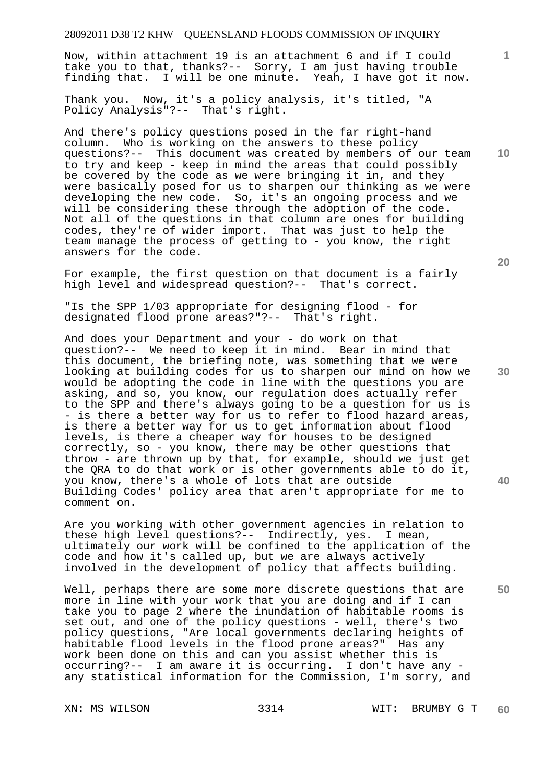Now, within attachment 19 is an attachment 6 and if I could take you to that, thanks?-- Sorry, I am just having trouble finding that. I will be one minute. Yeah, I have got it now.

Thank you. Now, it's a policy analysis, it's titled, "A Policy Analysis"?-- That's right.

And there's policy questions posed in the far right-hand column. Who is working on the answers to these policy questions?-- This document was created by members of our team to try and keep - keep in mind the areas that could possibly be covered by the code as we were bringing it in, and they were basically posed for us to sharpen our thinking as we were developing the new code. So, it's an ongoing process and we will be considering these through the adoption of the code. Not all of the questions in that column are ones for building codes, they're of wider import. That was just to help the team manage the process of getting to - you know, the right answers for the code.

For example, the first question on that document is a fairly high level and widespread question?-- That's correct.

"Is the SPP 1/03 appropriate for designing flood - for designated flood prone areas?"?-- That's right.

And does your Department and your - do work on that question?-- We need to keep it in mind. Bear in mind that this document, the briefing note, was something that we were looking at building codes for us to sharpen our mind on how we would be adopting the code in line with the questions you are asking, and so, you know, our regulation does actually refer to the SPP and there's always going to be a question for us is - is there a better way for us to refer to flood hazard areas, is there a better way for us to get information about flood levels, is there a cheaper way for houses to be designed correctly, so - you know, there may be other questions that throw - are thrown up by that, for example, should we just get the QRA to do that work or is other governments able to do it, you know, there's a whole of lots that are outside Building Codes' policy area that aren't appropriate for me to comment on.

Are you working with other government agencies in relation to these high level questions?-- Indirectly, yes. I mean, ultimately our work will be confined to the application of the code and how it's called up, but we are always actively involved in the development of policy that affects building.

Well, perhaps there are some more discrete questions that are more in line with your work that you are doing and if I can take you to page 2 where the inundation of habitable rooms is set out, and one of the policy questions - well, there's two policy questions, "Are local governments declaring heights of habitable flood levels in the flood prone areas?" Has any work been done on this and can you assist whether this is occurring?-- I am aware it is occurring. I don't have any any statistical information for the Commission, I'm sorry, and

**20** 

**40** 

**10** 

**1**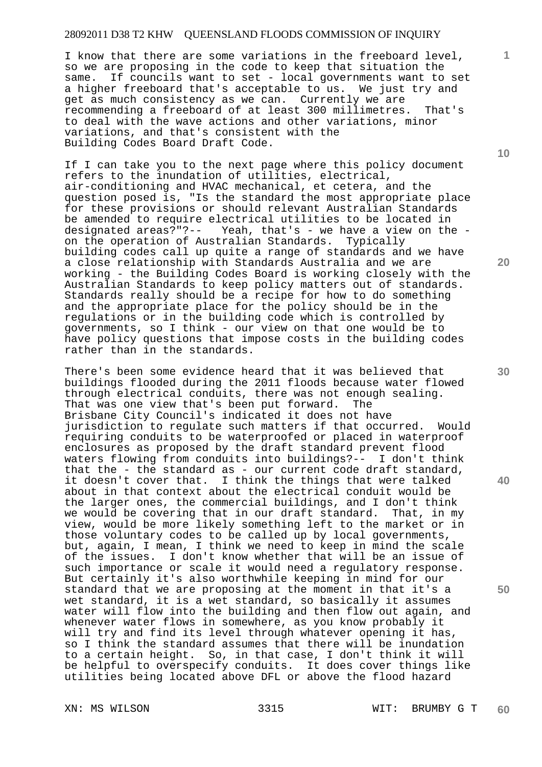I know that there are some variations in the freeboard level, so we are proposing in the code to keep that situation the same. If councils want to set - local governments want to set a higher freeboard that's acceptable to us. We just try and get as much consistency as we can. Currently we are recommending a freeboard of at least 300 millimetres. That's to deal with the wave actions and other variations, minor variations, and that's consistent with the Building Codes Board Draft Code.

If I can take you to the next page where this policy document refers to the inundation of utilities, electrical, air-conditioning and HVAC mechanical, et cetera, and the question posed is, "Is the standard the most appropriate place for these provisions or should relevant Australian Standards be amended to require electrical utilities to be located in designated areas?"?-- Yeah, that's - we have a view on the Yeah, that's - we have a view on the -<br>cralian Standards. Typically on the operation of Australian Standards. building codes call up quite a range of standards and we have a close relationship with Standards Australia and we are working - the Building Codes Board is working closely with the Australian Standards to keep policy matters out of standards. Standards really should be a recipe for how to do something and the appropriate place for the policy should be in the regulations or in the building code which is controlled by governments, so I think - our view on that one would be to have policy questions that impose costs in the building codes rather than in the standards.

There's been some evidence heard that it was believed that buildings flooded during the 2011 floods because water flowed through electrical conduits, there was not enough sealing.<br>That was one view that's been put forward. The That was one view that's been put forward. Brisbane City Council's indicated it does not have jurisdiction to regulate such matters if that occurred. Would requiring conduits to be waterproofed or placed in waterproof enclosures as proposed by the draft standard prevent flood waters flowing from conduits into buildings?-- I don't think that the - the standard as - our current code draft standard, it doesn't cover that. I think the things that were talked about in that context about the electrical conduit would be the larger ones, the commercial buildings, and I don't think we would be covering that in our draft standard. That, in my view, would be more likely something left to the market or in those voluntary codes to be called up by local governments, but, again, I mean, I think we need to keep in mind the scale of the issues. I don't know whether that will be an issue of such importance or scale it would need a regulatory response. But certainly it's also worthwhile keeping in mind for our standard that we are proposing at the moment in that it's a wet standard, it is a wet standard, so basically it assumes water will flow into the building and then flow out again, and whenever water flows in somewhere, as you know probably it will try and find its level through whatever opening it has, so I think the standard assumes that there will be inundation to a certain height. So, in that case, I don't think it will be helpful to overspecify conduits. It does cover things like utilities being located above DFL or above the flood hazard

**10** 

**1**

**20** 

**30** 

**40**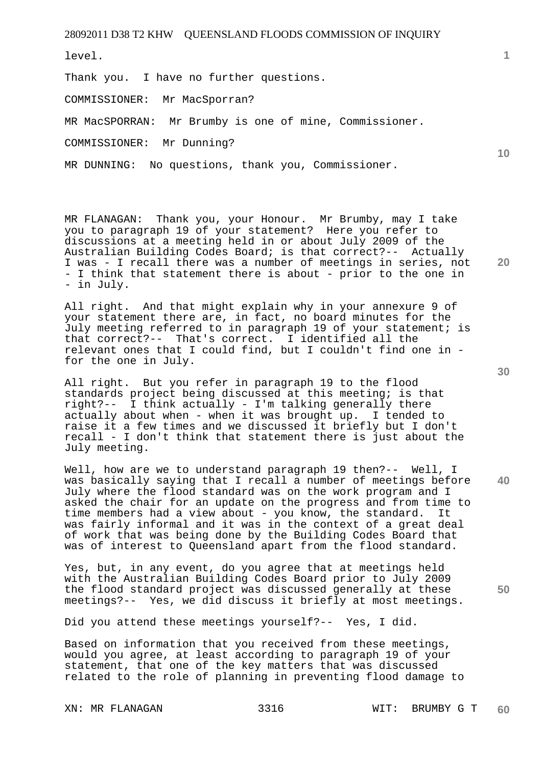level.

Thank you. I have no further questions.

COMMISSIONER: Mr MacSporran?

MR MacSPORRAN: Mr Brumby is one of mine, Commissioner.

COMMISSIONER: Mr Dunning?

MR DUNNING: No questions, thank you, Commissioner.

MR FLANAGAN: Thank you, your Honour. Mr Brumby, may I take you to paragraph 19 of your statement? Here you refer to discussions at a meeting held in or about July 2009 of the Australian Building Codes Board; is that correct?-- Actually I was - I recall there was a number of meetings in series, not - I think that statement there is about - prior to the one in - in July.

All right. And that might explain why in your annexure 9 of your statement there are, in fact, no board minutes for the July meeting referred to in paragraph 19 of your statement; is that correct?-- That's correct. I identified all the relevant ones that I could find, but I couldn't find one in for the one in July.

All right. But you refer in paragraph 19 to the flood standards project being discussed at this meeting; is that right?-- I think actually - I'm talking generally there actually about when - when it was brought up. I tended to raise it a few times and we discussed it briefly but I don't recall - I don't think that statement there is just about the July meeting.

Well, how are we to understand paragraph 19 then?-- Well, I was basically saying that I recall a number of meetings before July where the flood standard was on the work program and I asked the chair for an update on the progress and from time to time members had a view about - you know, the standard. It was fairly informal and it was in the context of a great deal of work that was being done by the Building Codes Board that was of interest to Queensland apart from the flood standard.

Yes, but, in any event, do you agree that at meetings held with the Australian Building Codes Board prior to July 2009 the flood standard project was discussed generally at these meetings?-- Yes, we did discuss it briefly at most meetings.

Did you attend these meetings yourself?-- Yes, I did.

Based on information that you received from these meetings, would you agree, at least according to paragraph 19 of your statement, that one of the key matters that was discussed related to the role of planning in preventing flood damage to

**20** 

**50** 

**40** 

**1**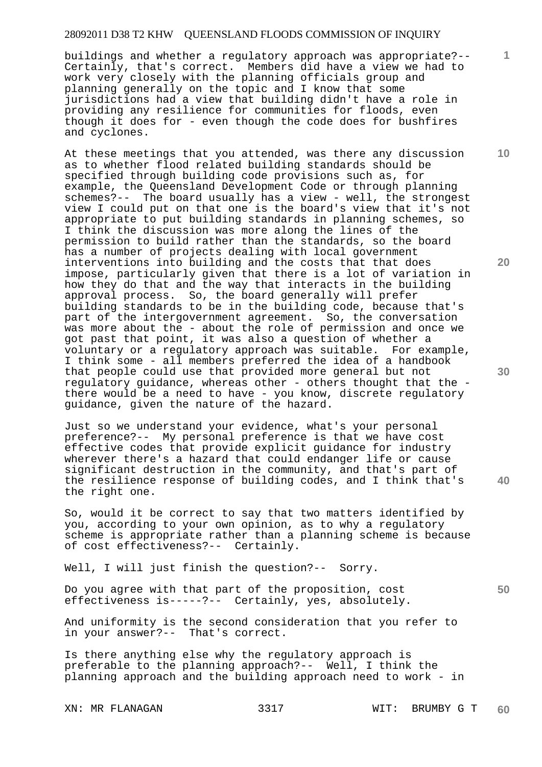buildings and whether a regulatory approach was appropriate?-- Certainly, that's correct. Members did have a view we had to work very closely with the planning officials group and planning generally on the topic and I know that some jurisdictions had a view that building didn't have a role in providing any resilience for communities for floods, even though it does for - even though the code does for bushfires and cyclones.

At these meetings that you attended, was there any discussion as to whether flood related building standards should be specified through building code provisions such as, for example, the Queensland Development Code or through planning schemes?-- The board usually has a view - well, the strongest view I could put on that one is the board's view that it's not appropriate to put building standards in planning schemes, so I think the discussion was more along the lines of the permission to build rather than the standards, so the board has a number of projects dealing with local government interventions into building and the costs that that does impose, particularly given that there is a lot of variation in how they do that and the way that interacts in the building approval process. So, the board generally will prefer building standards to be in the building code, because that's part of the intergovernment agreement. So, the conversation was more about the - about the role of permission and once we got past that point, it was also a question of whether a voluntary or a regulatory approach was suitable. For example, I think some - all members preferred the idea of a handbook that people could use that provided more general but not regulatory guidance, whereas other - others thought that the there would be a need to have - you know, discrete regulatory guidance, given the nature of the hazard.

Just so we understand your evidence, what's your personal preference?-- My personal preference is that we have cost effective codes that provide explicit guidance for industry wherever there's a hazard that could endanger life or cause significant destruction in the community, and that's part of the resilience response of building codes, and I think that's the right one.

So, would it be correct to say that two matters identified by you, according to your own opinion, as to why a regulatory scheme is appropriate rather than a planning scheme is because of cost effectiveness?-- Certainly.

Well, I will just finish the question?-- Sorry.

Do you agree with that part of the proposition, cost effectiveness is-----?-- Certainly, yes, absolutely.

And uniformity is the second consideration that you refer to in your answer?-- That's correct.

Is there anything else why the regulatory approach is preferable to the planning approach?-- Well, I think the planning approach and the building approach need to work - in

**10** 

**1**

**20** 

**30** 

**40**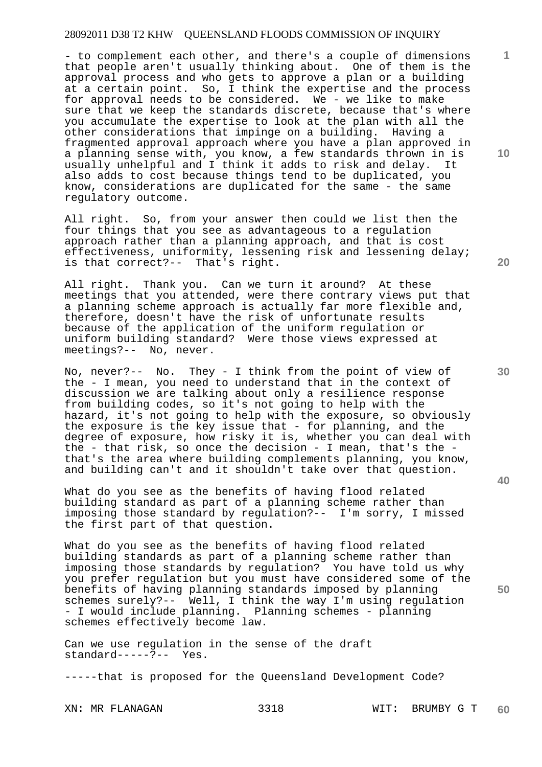- to complement each other, and there's a couple of dimensions that people aren't usually thinking about. One of them is the approval process and who gets to approve a plan or a building at a certain point. So, I think the expertise and the process for approval needs to be considered. We - we like to make sure that we keep the standards discrete, because that's where you accumulate the expertise to look at the plan with all the other considerations that impinge on a building. Having a fragmented approval approach where you have a plan approved in a planning sense with, you know, a few standards thrown in is usually unhelpful and I think it adds to risk and delay. It also adds to cost because things tend to be duplicated, you know, considerations are duplicated for the same - the same regulatory outcome.

All right. So, from your answer then could we list then the four things that you see as advantageous to a regulation approach rather than a planning approach, and that is cost effectiveness, uniformity, lessening risk and lessening delay; is that correct?-- That's right.

All right. Thank you. Can we turn it around? At these meetings that you attended, were there contrary views put that a planning scheme approach is actually far more flexible and, therefore, doesn't have the risk of unfortunate results because of the application of the uniform regulation or uniform building standard? Were those views expressed at meetings?-- No, never.

No, never?-- No. They - I think from the point of view of the - I mean, you need to understand that in the context of discussion we are talking about only a resilience response from building codes, so it's not going to help with the hazard, it's not going to help with the exposure, so obviously the exposure is the key issue that - for planning, and the degree of exposure, how risky it is, whether you can deal with the - that risk, so once the decision - I mean, that's the that's the area where building complements planning, you know, and building can't and it shouldn't take over that question.

What do you see as the benefits of having flood related building standard as part of a planning scheme rather than imposing those standard by regulation?-- I'm sorry, I missed the first part of that question.

What do you see as the benefits of having flood related building standards as part of a planning scheme rather than imposing those standards by regulation? You have told us why you prefer regulation but you must have considered some of the benefits of having planning standards imposed by planning schemes surely?-- Well, I think the way I'm using regulation - I would include planning. Planning schemes - planning schemes effectively become law.

Can we use regulation in the sense of the draft standard-----?-- Yes.

-----that is proposed for the Queensland Development Code?

**10** 

**1**

**30** 

**40** 

**50**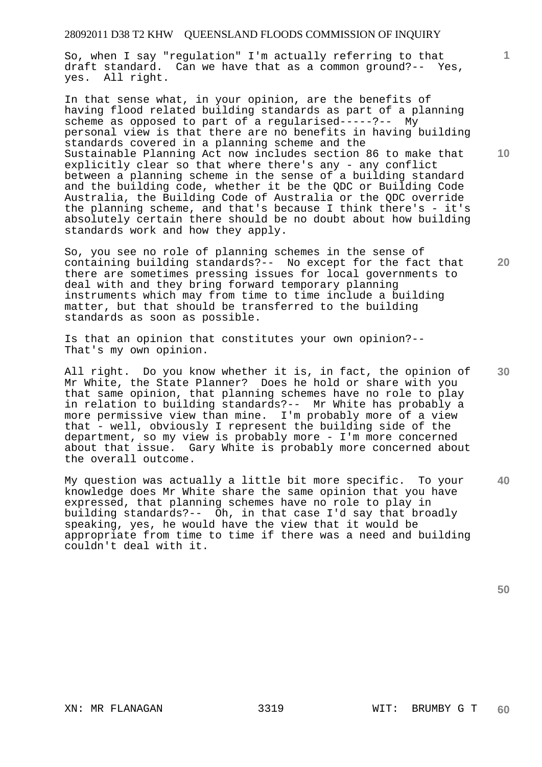So, when I say "regulation" I'm actually referring to that draft standard. Can we have that as a common ground?-- Yes, yes. All right.

In that sense what, in your opinion, are the benefits of having flood related building standards as part of a planning scheme as opposed to part of a regularised-----?-- My personal view is that there are no benefits in having building standards covered in a planning scheme and the Sustainable Planning Act now includes section 86 to make that explicitly clear so that where there's any - any conflict between a planning scheme in the sense of a building standard and the building code, whether it be the QDC or Building Code Australia, the Building Code of Australia or the QDC override the planning scheme, and that's because I think there's - it's absolutely certain there should be no doubt about how building standards work and how they apply.

So, you see no role of planning schemes in the sense of containing building standards?-- No except for the fact that there are sometimes pressing issues for local governments to deal with and they bring forward temporary planning instruments which may from time to time include a building matter, but that should be transferred to the building standards as soon as possible.

Is that an opinion that constitutes your own opinion?-- That's my own opinion.

All right. Do you know whether it is, in fact, the opinion of Mr White, the State Planner? Does he hold or share with you that same opinion, that planning schemes have no role to play in relation to building standards?-- Mr White has probably a more permissive view than mine. I'm probably more of a view that - well, obviously I represent the building side of the department, so my view is probably more - I'm more concerned about that issue. Gary White is probably more concerned about the overall outcome.

**40**  My question was actually a little bit more specific. To your knowledge does Mr White share the same opinion that you have expressed, that planning schemes have no role to play in building standards?-- Oh, in that case I'd say that broadly speaking, yes, he would have the view that it would be appropriate from time to time if there was a need and building couldn't deal with it.

**50** 

**10** 

**1**

**30**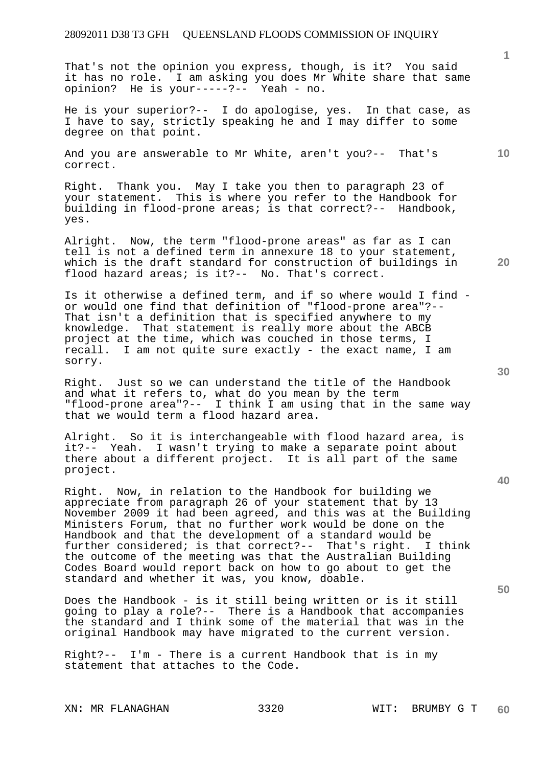That's not the opinion you express, though, is it? You said it has no role. I am asking you does Mr White share that same opinion? He is your-----?-- Yeah - no.

He is your superior?-- I do apologise, yes. In that case, as I have to say, strictly speaking he and I may differ to some degree on that point.

And you are answerable to Mr White, aren't you?-- That's correct.

Right. Thank you. May I take you then to paragraph 23 of your statement. This is where you refer to the Handbook for building in flood-prone areas; is that correct?-- Handbook, yes.

Alright. Now, the term "flood-prone areas" as far as I can tell is not a defined term in annexure 18 to your statement, which is the draft standard for construction of buildings in flood hazard areas; is it?-- No. That's correct.

Is it otherwise a defined term, and if so where would I find or would one find that definition of "flood-prone area"?-- That isn't a definition that is specified anywhere to my knowledge. That statement is really more about the ABCB project at the time, which was couched in those terms, I recall. I am not quite sure exactly - the exact name, I am sorry.

Right. Just so we can understand the title of the Handbook and what it refers to, what do you mean by the term "flood-prone area"?-- I think I am using that in the same way that we would term a flood hazard area.

Alright. So it is interchangeable with flood hazard area, is it?-- Yeah. I wasn't trying to make a separate point about there about a different project. It is all part of the same project.

Right. Now, in relation to the Handbook for building we appreciate from paragraph 26 of your statement that by 13 November 2009 it had been agreed, and this was at the Building Ministers Forum, that no further work would be done on the Handbook and that the development of a standard would be further considered; is that correct?-- That's right. I think the outcome of the meeting was that the Australian Building Codes Board would report back on how to go about to get the standard and whether it was, you know, doable.

Does the Handbook - is it still being written or is it still going to play a role?-- There is a Handbook that accompanies the standard and I think some of the material that was in the original Handbook may have migrated to the current version.

Right?-- I'm - There is a current Handbook that is in my statement that attaches to the Code.

**40** 

**50** 

**20** 

**10**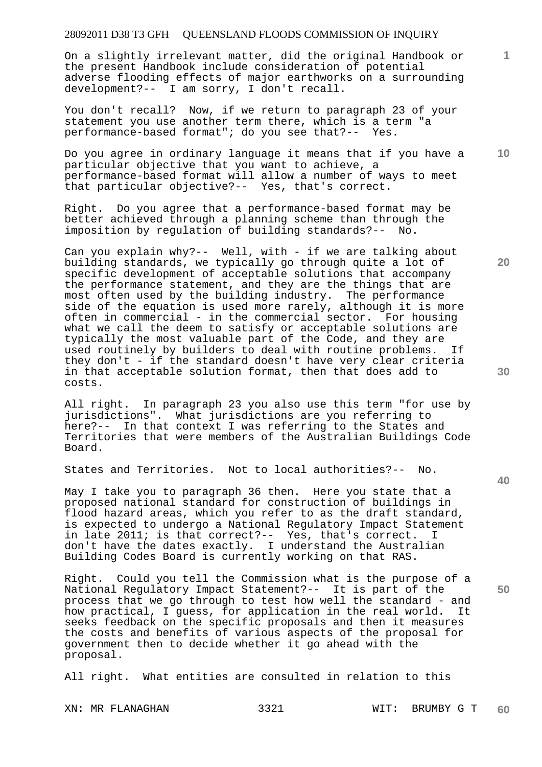On a slightly irrelevant matter, did the original Handbook or the present Handbook include consideration of potential adverse flooding effects of major earthworks on a surrounding development?-- I am sorry, I don't recall.

You don't recall? Now, if we return to paragraph 23 of your statement you use another term there, which is a term "a performance-based format"; do you see that?-- Yes.

Do you agree in ordinary language it means that if you have a particular objective that you want to achieve, a performance-based format will allow a number of ways to meet that particular objective?-- Yes, that's correct.

Right. Do you agree that a performance-based format may be better achieved through a planning scheme than through the imposition by regulation of building standards?-- No.

Can you explain why?-- Well, with - if we are talking about building standards, we typically go through quite a lot of specific development of acceptable solutions that accompany the performance statement, and they are the things that are most often used by the building industry. The performance  $s$  is the equation is used more rarely, although it is more often in commercial - in the commercial sector. For housing what we call the deem to satisfy or acceptable solutions are typically the most valuable part of the Code, and they are used routinely by builders to deal with routine problems. If they don't - if the standard doesn't have very clear criteria in that acceptable solution format, then that does add to costs.

All right. In paragraph 23 you also use this term "for use by jurisdictions". What jurisdictions are you referring to here?-- In that context I was referring to the States and Territories that were members of the Australian Buildings Code Board.

States and Territories. Not to local authorities?-- No.

May I take you to paragraph 36 then. Here you state that a proposed national standard for construction of buildings in flood hazard areas, which you refer to as the draft standard, is expected to undergo a National Regulatory Impact Statement in late 2011; is that correct?-- Yes, that's correct. I don't have the dates exactly. I understand the Australian Building Codes Board is currently working on that RAS.

Right. Could you tell the Commission what is the purpose of a National Regulatory Impact Statement?-- It is part of the process that we go through to test how well the standard - and how practical, I guess, for application in the real world. It seeks feedback on the specific proposals and then it measures the costs and benefits of various aspects of the proposal for government then to decide whether it go ahead with the proposal.

All right. What entities are consulted in relation to this

**10** 

**1**

**20** 

**40**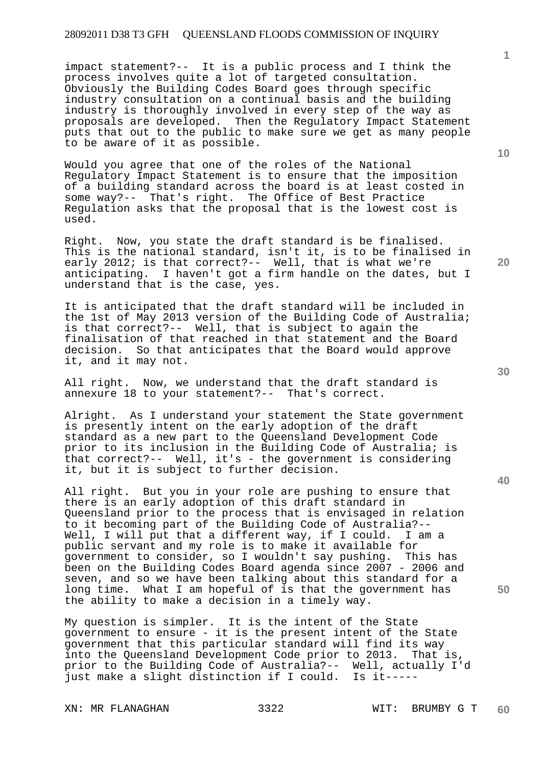impact statement?-- It is a public process and I think the process involves quite a lot of targeted consultation. Obviously the Building Codes Board goes through specific industry consultation on a continual basis and the building industry is thoroughly involved in every step of the way as proposals are developed. Then the Regulatory Impact Statement puts that out to the public to make sure we get as many people to be aware of it as possible.

Would you agree that one of the roles of the National Regulatory Impact Statement is to ensure that the imposition of a building standard across the board is at least costed in some way?-- That's right. The Office of Best Practice Regulation asks that the proposal that is the lowest cost is used.

Right. Now, you state the draft standard is be finalised. This is the national standard, isn't it, is to be finalised in early 2012; is that correct?-- Well, that is what we're anticipating. I haven't got a firm handle on the dates, but I understand that is the case, yes.

It is anticipated that the draft standard will be included in the 1st of May 2013 version of the Building Code of Australia; is that correct?-- Well, that is subject to again the finalisation of that reached in that statement and the Board decision. So that anticipates that the Board would approve it, and it may not.

All right. Now, we understand that the draft standard is annexure 18 to your statement?-- That's correct.

Alright. As I understand your statement the State government is presently intent on the early adoption of the draft standard as a new part to the Queensland Development Code prior to its inclusion in the Building Code of Australia; is that correct?-- Well, it's - the government is considering it, but it is subject to further decision.

All right. But you in your role are pushing to ensure that there is an early adoption of this draft standard in Queensland prior to the process that is envisaged in relation to it becoming part of the Building Code of Australia?-- Well, I will put that a different way, if I could. I am a public servant and my role is to make it available for government to consider, so I wouldn't say pushing. This has been on the Building Codes Board agenda since 2007 - 2006 and seven, and so we have been talking about this standard for a long time. What I am hopeful of is that the government has the ability to make a decision in a timely way.

My question is simpler. It is the intent of the State government to ensure - it is the present intent of the State government that this particular standard will find its way into the Queensland Development Code prior to 2013. That is, prior to the Building Code of Australia?-- Well, actually I'd just make a slight distinction if I could. Is it-----

**10** 

**1**

**20** 

**40**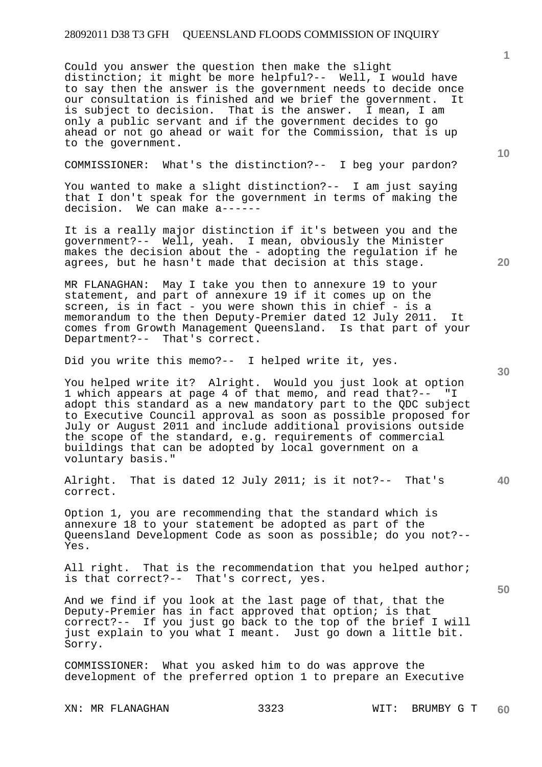Could you answer the question then make the slight distinction; it might be more helpful?-- Well, I would have to say then the answer is the government needs to decide once our consultation is finished and we brief the government. It is subject to decision. That is the answer. I mean, I am only a public servant and if the government decides to go ahead or not go ahead or wait for the Commission, that is up to the government.

COMMISSIONER: What's the distinction?-- I beg your pardon?

You wanted to make a slight distinction?-- I am just saying that I don't speak for the government in terms of making the decision. We can make a------

It is a really major distinction if it's between you and the government?-- Well, yeah. I mean, obviously the Minister makes the decision about the - adopting the regulation if he agrees, but he hasn't made that decision at this stage.

MR FLANAGHAN: May I take you then to annexure 19 to your statement, and part of annexure 19 if it comes up on the screen, is in fact - you were shown this in chief - is a memorandum to the then Deputy-Premier dated 12 July 2011. It comes from Growth Management Queensland. Is that part of your Department?-- That's correct.

Did you write this memo?-- I helped write it, yes.

You helped write it? Alright. Would you just look at option 1 which appears at page 4 of that memo, and read that?-- "I adopt this standard as a new mandatory part to the QDC subject to Executive Council approval as soon as possible proposed for July or August 2011 and include additional provisions outside the scope of the standard, e.g. requirements of commercial buildings that can be adopted by local government on a voluntary basis."

Alright. That is dated 12 July 2011; is it not?-- That's correct.

Option 1, you are recommending that the standard which is annexure 18 to your statement be adopted as part of the Queensland Development Code as soon as possible; do you not?-- Yes.

All right. That is the recommendation that you helped author; is that correct?-- That's correct, yes.

And we find if you look at the last page of that, that the Deputy-Premier has in fact approved that option; is that correct?-- If you just go back to the top of the brief I will just explain to you what I meant. Just go down a little bit. Sorry.

COMMISSIONER: What you asked him to do was approve the development of the preferred option 1 to prepare an Executive

**10** 

**1**

**30** 

**20**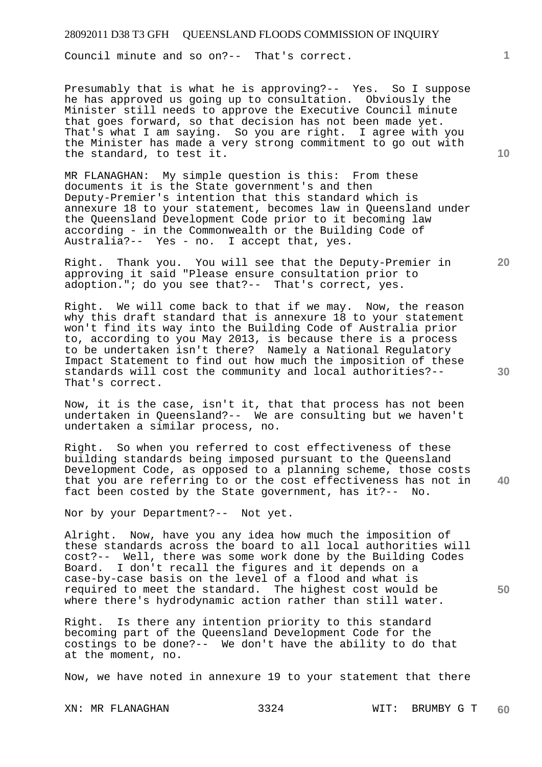Council minute and so on?-- That's correct.

Presumably that is what he is approving?-- Yes. So I suppose he has approved us going up to consultation. Obviously the Minister still needs to approve the Executive Council minute that goes forward, so that decision has not been made yet. That's what I am saying. So you are right. I agree with you the Minister has made a very strong commitment to go out with the standard, to test it.

MR FLANAGHAN: My simple question is this: From these documents it is the State government's and then Deputy-Premier's intention that this standard which is annexure 18 to your statement, becomes law in Queensland under the Queensland Development Code prior to it becoming law according - in the Commonwealth or the Building Code of Australia?-- Yes - no. I accept that, yes.

Right. Thank you. You will see that the Deputy-Premier in approving it said "Please ensure consultation prior to adoption."; do you see that?-- That's correct, yes.

Right. We will come back to that if we may. Now, the reason why this draft standard that is annexure 18 to your statement won't find its way into the Building Code of Australia prior to, according to you May 2013, is because there is a process to be undertaken isn't there? Namely a National Regulatory Impact Statement to find out how much the imposition of these standards will cost the community and local authorities?-- That's correct.

Now, it is the case, isn't it, that that process has not been undertaken in Queensland?-- We are consulting but we haven't undertaken a similar process, no.

**40**  Right. So when you referred to cost effectiveness of these building standards being imposed pursuant to the Queensland Development Code, as opposed to a planning scheme, those costs that you are referring to or the cost effectiveness has not in fact been costed by the State government, has it?-- No.

Nor by your Department?-- Not yet.

Alright. Now, have you any idea how much the imposition of these standards across the board to all local authorities will cost?-- Well, there was some work done by the Building Codes Board. I don't recall the figures and it depends on a case-by-case basis on the level of a flood and what is required to meet the standard. The highest cost would be where there's hydrodynamic action rather than still water.

Right. Is there any intention priority to this standard becoming part of the Queensland Development Code for the costings to be done?-- We don't have the ability to do that at the moment, no.

Now, we have noted in annexure 19 to your statement that there

**10** 

**1**

**20** 

**30**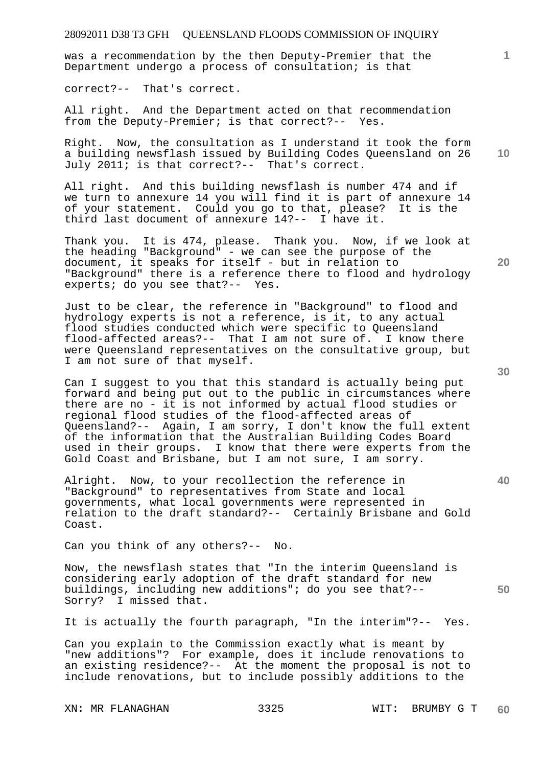was a recommendation by the then Deputy-Premier that the Department undergo a process of consultation; is that

correct?-- That's correct.

All right. And the Department acted on that recommendation from the Deputy-Premier; is that correct?-- Yes.

Right. Now, the consultation as I understand it took the form a building newsflash issued by Building Codes Queensland on 26 July 2011; is that correct?-- That's correct.

All right. And this building newsflash is number 474 and if we turn to annexure 14 you will find it is part of annexure 14 of your statement. Could you go to that, please? It is the third last document of annexure 14?-- I have it.

Thank you. It is 474, please. Thank you. Now, if we look at the heading "Background" - we can see the purpose of the document, it speaks for itself - but in relation to "Background" there is a reference there to flood and hydrology experts; do you see that?-- Yes.

Just to be clear, the reference in "Background" to flood and hydrology experts is not a reference, is it, to any actual flood studies conducted which were specific to Queensland flood-affected areas?-- That I am not sure of. I know there were Queensland representatives on the consultative group, but I am not sure of that myself.

Can I suggest to you that this standard is actually being put forward and being put out to the public in circumstances where there are no - it is not informed by actual flood studies or regional flood studies of the flood-affected areas of Queensland?-- Again, I am sorry, I don't know the full extent of the information that the Australian Building Codes Board used in their groups. I know that there were experts from the Gold Coast and Brisbane, but I am not sure, I am sorry.

Alright. Now, to your recollection the reference in "Background" to representatives from State and local governments, what local governments were represented in relation to the draft standard?-- Certainly Brisbane and Gold Coast.

Can you think of any others?-- No.

Now, the newsflash states that "In the interim Queensland is considering early adoption of the draft standard for new buildings, including new additions"; do you see that?-- Sorry? I missed that.

It is actually the fourth paragraph, "In the interim"?-- Yes.

Can you explain to the Commission exactly what is meant by "new additions"? For example, does it include renovations to an existing residence?-- At the moment the proposal is not to include renovations, but to include possibly additions to the

**20** 

**10** 

**1**

**50**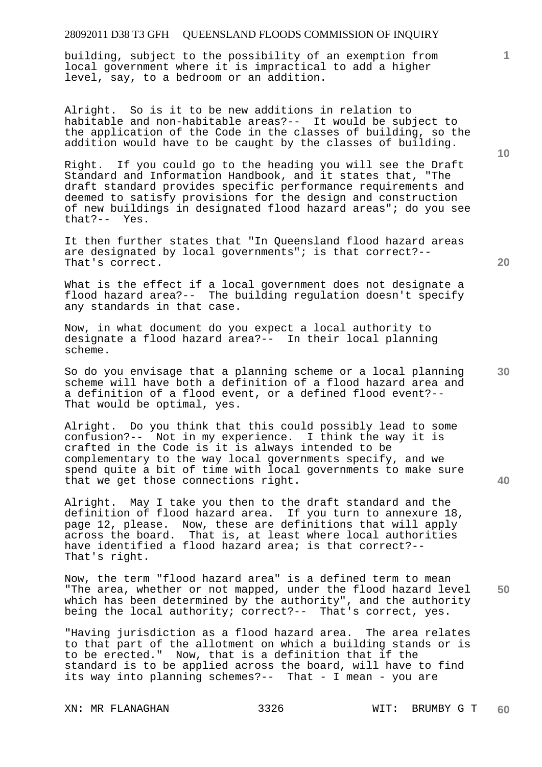building, subject to the possibility of an exemption from local government where it is impractical to add a higher level, say, to a bedroom or an addition.

Alright. So is it to be new additions in relation to habitable and non-habitable areas?-- It would be subject to the application of the Code in the classes of building, so the addition would have to be caught by the classes of building.

Right. If you could go to the heading you will see the Draft Standard and Information Handbook, and it states that, "The draft standard provides specific performance requirements and deemed to satisfy provisions for the design and construction of new buildings in designated flood hazard areas"; do you see that?-- Yes.

It then further states that "In Queensland flood hazard areas are designated by local governments"; is that correct?-- That's correct.

What is the effect if a local government does not designate a flood hazard area?-- The building regulation doesn't specify any standards in that case.

Now, in what document do you expect a local authority to designate a flood hazard area?-- In their local planning scheme.

So do you envisage that a planning scheme or a local planning scheme will have both a definition of a flood hazard area and a definition of a flood event, or a defined flood event?-- That would be optimal, yes.

Alright. Do you think that this could possibly lead to some confusion?-- Not in my experience. I think the way it is crafted in the Code is it is always intended to be complementary to the way local governments specify, and we spend quite a bit of time with local governments to make sure that we get those connections right.

Alright. May I take you then to the draft standard and the definition of flood hazard area. If you turn to annexure 18, page 12, please. Now, these are definitions that will apply across the board. That is, at least where local authorities have identified a flood hazard area; is that correct?-- That's right.

**50**  Now, the term "flood hazard area" is a defined term to mean "The area, whether or not mapped, under the flood hazard level which has been determined by the authority", and the authority being the local authority; correct?-- That's correct, yes.

"Having jurisdiction as a flood hazard area. The area relates to that part of the allotment on which a building stands or is to be erected." Now, that is a definition that if the standard is to be applied across the board, will have to find its way into planning schemes?-- That - I mean - you are

XN: MR FLANAGHAN 3326 WIT: BRUMBY G T

**10** 

**1**

**20**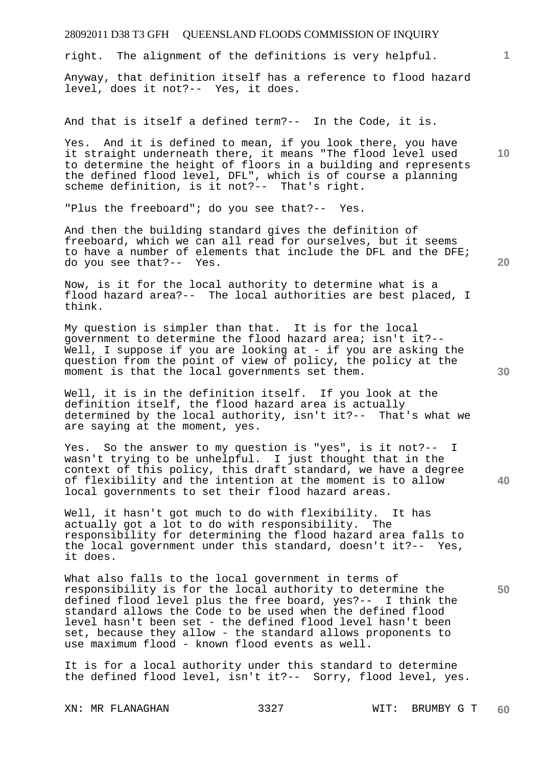right. The alignment of the definitions is very helpful.

Anyway, that definition itself has a reference to flood hazard level, does it not?-- Yes, it does.

And that is itself a defined term?-- In the Code, it is.

**10**  Yes. And it is defined to mean, if you look there, you have it straight underneath there, it means "The flood level used to determine the height of floors in a building and represents the defined flood level, DFL", which is of course a planning scheme definition, is it not?-- That's right.

"Plus the freeboard"; do you see that?-- Yes.

And then the building standard gives the definition of freeboard, which we can all read for ourselves, but it seems to have a number of elements that include the DFL and the DFE; do you see that?-- Yes.

Now, is it for the local authority to determine what is a flood hazard area?-- The local authorities are best placed, I think.

My question is simpler than that. It is for the local government to determine the flood hazard area; isn't it?-- Well, I suppose if you are looking at - if you are asking the question from the point of view of policy, the policy at the moment is that the local governments set them.

Well, it is in the definition itself. If you look at the definition itself, the flood hazard area is actually determined by the local authority, isn't it?-- That's what we are saying at the moment, yes.

Yes. So the answer to my question is "yes", is it not?-- I wasn't trying to be unhelpful. I just thought that in the context of this policy, this draft standard, we have a degree of flexibility and the intention at the moment is to allow local governments to set their flood hazard areas.

Well, it hasn't got much to do with flexibility. It has actually got a lot to do with responsibility. The responsibility for determining the flood hazard area falls to the local government under this standard, doesn't it?-- Yes, it does.

What also falls to the local government in terms of responsibility is for the local authority to determine the defined flood level plus the free board, yes?-- I think the standard allows the Code to be used when the defined flood level hasn't been set - the defined flood level hasn't been set, because they allow - the standard allows proponents to use maximum flood - known flood events as well.

It is for a local authority under this standard to determine the defined flood level, isn't it?-- Sorry, flood level, yes.

**30** 

**20** 

**50** 

**40**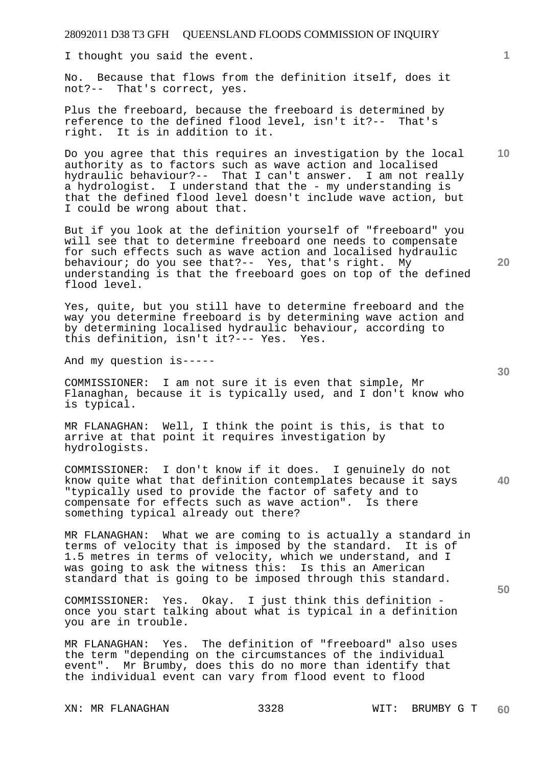I thought you said the event.

No. Because that flows from the definition itself, does it not?-- That's correct, yes.

Plus the freeboard, because the freeboard is determined by reference to the defined flood level, isn't it?-- That's right. It is in addition to it.

Do you agree that this requires an investigation by the local authority as to factors such as wave action and localised hydraulic behaviour?-- That I can't answer. I am not really a hydrologist. I understand that the - my understanding is that the defined flood level doesn't include wave action, but I could be wrong about that.

But if you look at the definition yourself of "freeboard" you will see that to determine freeboard one needs to compensate for such effects such as wave action and localised hydraulic behaviour; do you see that?-- Yes, that's right. My understanding is that the freeboard goes on top of the defined flood level.

Yes, quite, but you still have to determine freeboard and the way you determine freeboard is by determining wave action and by determining localised hydraulic behaviour, according to this definition, isn't it?--- Yes. Yes.

And my question is-----

COMMISSIONER: I am not sure it is even that simple, Mr Flanaghan, because it is typically used, and I don't know who is typical.

MR FLANAGHAN: Well, I think the point is this, is that to arrive at that point it requires investigation by hydrologists.

COMMISSIONER: I don't know if it does. I genuinely do not know quite what that definition contemplates because it says "typically used to provide the factor of safety and to compensate for effects such as wave action". Is there something typical already out there?

MR FLANAGHAN: What we are coming to is actually a standard in terms of velocity that is imposed by the standard. It is of 1.5 metres in terms of velocity, which we understand, and I was going to ask the witness this: Is this an American standard that is going to be imposed through this standard.

COMMISSIONER: Yes. Okay. I just think this definition once you start talking about what is typical in a definition you are in trouble.

MR FLANAGHAN: Yes. The definition of "freeboard" also uses the term "depending on the circumstances of the individual event". Mr Brumby, does this do no more than identify that the individual event can vary from flood event to flood

**20** 

**40** 

**50** 

**10**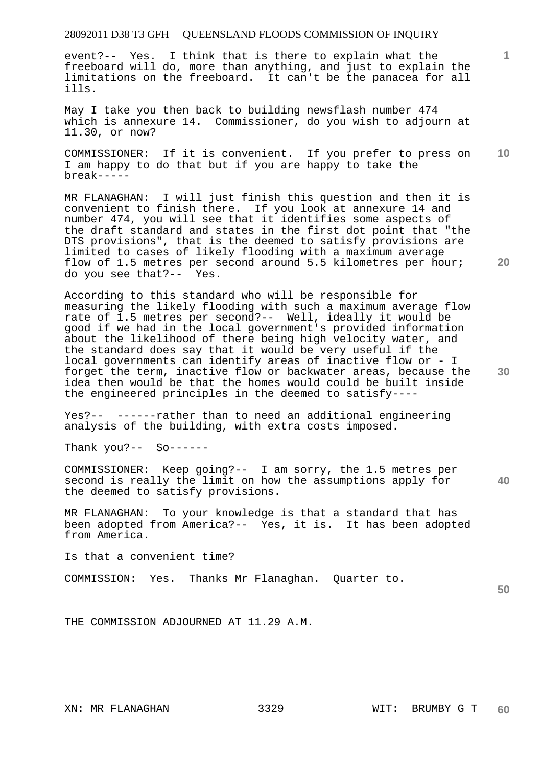event?-- Yes. I think that is there to explain what the freeboard will do, more than anything, and just to explain the limitations on the freeboard. It can't be the panacea for all ills.

May I take you then back to building newsflash number 474 which is annexure 14. Commissioner, do you wish to adjourn at 11.30, or now?

**10**  COMMISSIONER: If it is convenient. If you prefer to press on I am happy to do that but if you are happy to take the break-----

MR FLANAGHAN: I will just finish this question and then it is convenient to finish there. If you look at annexure 14 and number 474, you will see that it identifies some aspects of the draft standard and states in the first dot point that "the DTS provisions", that is the deemed to satisfy provisions are limited to cases of likely flooding with a maximum average flow of 1.5 metres per second around 5.5 kilometres per hour; do you see that?-- Yes.

According to this standard who will be responsible for measuring the likely flooding with such a maximum average flow rate of 1.5 metres per second?-- Well, ideally it would be good if we had in the local government's provided information about the likelihood of there being high velocity water, and the standard does say that it would be very useful if the local governments can identify areas of inactive flow or - I forget the term, inactive flow or backwater areas, because the idea then would be that the homes would could be built inside the engineered principles in the deemed to satisfy----

Yes?-- ------rather than to need an additional engineering analysis of the building, with extra costs imposed.

Thank you?-- So------

**40**  COMMISSIONER: Keep going?-- I am sorry, the 1.5 metres per second is really the limit on how the assumptions apply for the deemed to satisfy provisions.

MR FLANAGHAN: To your knowledge is that a standard that has been adopted from America?-- Yes, it is. It has been adopted from America.

Is that a convenient time?

COMMISSION: Yes. Thanks Mr Flanaghan. Quarter to.

**50** 

THE COMMISSION ADJOURNED AT 11.29 A.M.

**1**

**20**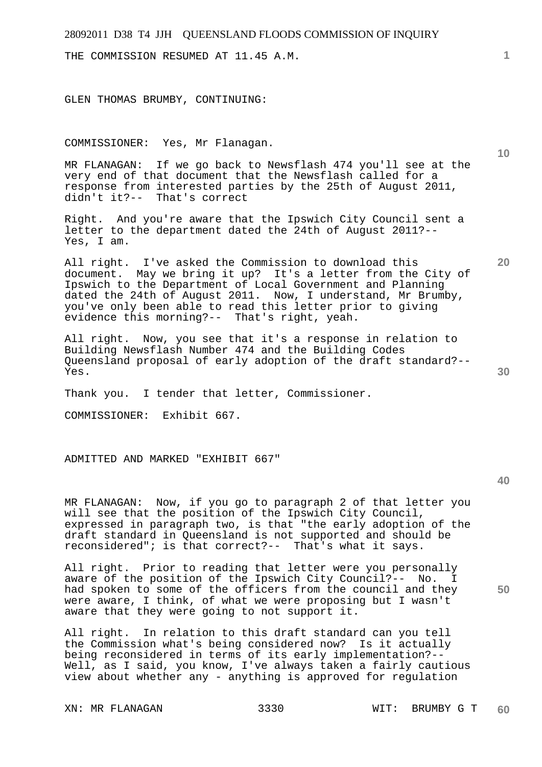THE COMMISSION RESUMED AT 11.45 A.M.

GLEN THOMAS BRUMBY, CONTINUING:

COMMISSIONER: Yes, Mr Flanagan.

MR FLANAGAN: If we go back to Newsflash 474 you'll see at the very end of that document that the Newsflash called for a response from interested parties by the 25th of August 2011, didn't it?-- That's correct

Right. And you're aware that the Ipswich City Council sent a letter to the department dated the 24th of August 2011?-- Yes, I am.

All right. I've asked the Commission to download this document. May we bring it up? It's a letter from the City of Ipswich to the Department of Local Government and Planning dated the 24th of August 2011. Now, I understand, Mr Brumby, you've only been able to read this letter prior to giving evidence this morning?-- That's right, yeah.

All right. Now, you see that it's a response in relation to Building Newsflash Number 474 and the Building Codes Queensland proposal of early adoption of the draft standard?-- Yes.

Thank you. I tender that letter, Commissioner.

COMMISSIONER: Exhibit 667.

ADMITTED AND MARKED "EXHIBIT 667"

**40** 

**50** 

MR FLANAGAN: Now, if you go to paragraph 2 of that letter you will see that the position of the Ipswich City Council, expressed in paragraph two, is that "the early adoption of the draft standard in Queensland is not supported and should be reconsidered"; is that correct?-- That's what it says.

All right. Prior to reading that letter were you personally aware of the position of the Ipswich City Council?-- No. I had spoken to some of the officers from the council and they were aware, I think, of what we were proposing but I wasn't aware that they were going to not support it.

All right. In relation to this draft standard can you tell the Commission what's being considered now? Is it actually being reconsidered in terms of its early implementation?-- Well, as I said, you know, I've always taken a fairly cautious view about whether any - anything is approved for regulation

**10** 

**20**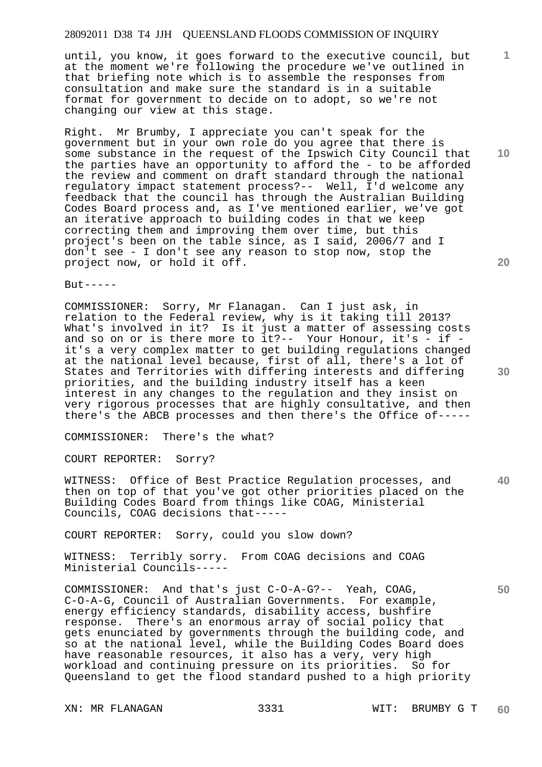until, you know, it goes forward to the executive council, but at the moment we're following the procedure we've outlined in that briefing note which is to assemble the responses from consultation and make sure the standard is in a suitable format for government to decide on to adopt, so we're not changing our view at this stage.

Right. Mr Brumby, I appreciate you can't speak for the government but in your own role do you agree that there is some substance in the request of the Ipswich City Council that the parties have an opportunity to afford the - to be afforded the review and comment on draft standard through the national regulatory impact statement process?-- Well, I'd welcome any feedback that the council has through the Australian Building Codes Board process and, as I've mentioned earlier, we've got an iterative approach to building codes in that we keep correcting them and improving them over time, but this project's been on the table since, as I said, 2006/7 and I don't see - I don't see any reason to stop now, stop the project now, or hold it off.

 $But----$ 

COMMISSIONER: Sorry, Mr Flanagan. Can I just ask, in relation to the Federal review, why is it taking till 2013? What's involved in it? Is it just a matter of assessing costs and so on or is there more to it?-- Your Honour, it's - if it's a very complex matter to get building regulations changed at the national level because, first of all, there's a lot of States and Territories with differing interests and differing priorities, and the building industry itself has a keen interest in any changes to the regulation and they insist on very rigorous processes that are highly consultative, and then there's the ABCB processes and then there's the Office of-----

COMMISSIONER: There's the what?

COURT REPORTER: Sorry?

**40**  WITNESS: Office of Best Practice Regulation processes, and then on top of that you've got other priorities placed on the Building Codes Board from things like COAG, Ministerial Councils, COAG decisions that-----

COURT REPORTER: Sorry, could you slow down?

WITNESS: Terribly sorry. From COAG decisions and COAG Ministerial Councils-----

COMMISSIONER: And that's just C-O-A-G?-- Yeah, COAG, C-O-A-G, Council of Australian Governments. For example, energy efficiency standards, disability access, bushfire response. There's an enormous array of social policy that gets enunciated by governments through the building code, and so at the national level, while the Building Codes Board does have reasonable resources, it also has a very, very high workload and continuing pressure on its priorities. So for Queensland to get the flood standard pushed to a high priority

**10** 

**1**

**20**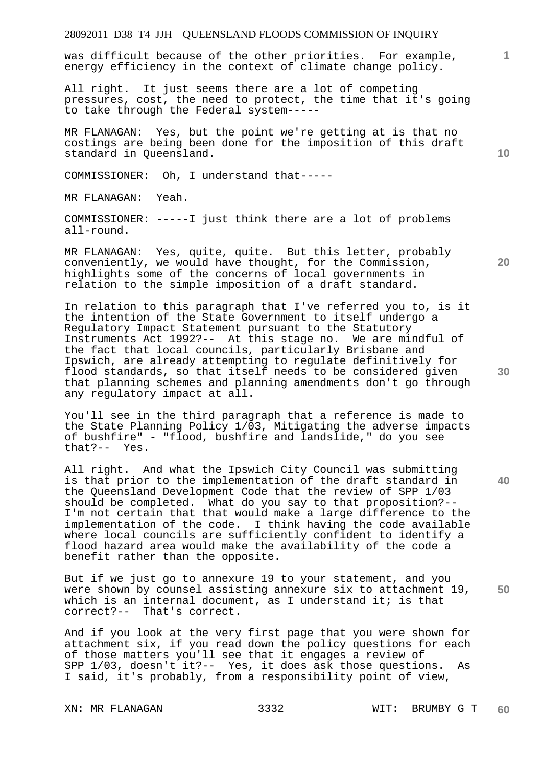was difficult because of the other priorities. For example, energy efficiency in the context of climate change policy.

All right. It just seems there are a lot of competing pressures, cost, the need to protect, the time that it's going to take through the Federal system-----

MR FLANAGAN: Yes, but the point we're getting at is that no costings are being been done for the imposition of this draft standard in Queensland.

COMMISSIONER: Oh, I understand that-----

MR FLANAGAN: Yeah.

COMMISSIONER: -----I just think there are a lot of problems all-round.

MR FLANAGAN: Yes, quite, quite. But this letter, probably conveniently, we would have thought, for the Commission, highlights some of the concerns of local governments in relation to the simple imposition of a draft standard.

In relation to this paragraph that I've referred you to, is it the intention of the State Government to itself undergo a Regulatory Impact Statement pursuant to the Statutory Instruments Act 1992?-- At this stage no. We are mindful of the fact that local councils, particularly Brisbane and Ipswich, are already attempting to regulate definitively for flood standards, so that itself needs to be considered given that planning schemes and planning amendments don't go through any regulatory impact at all.

You'll see in the third paragraph that a reference is made to the State Planning Policy 1/03, Mitigating the adverse impacts of bushfire" - "flood, bushfire and landslide," do you see that?-- Yes.

All right. And what the Ipswich City Council was submitting is that prior to the implementation of the draft standard in the Queensland Development Code that the review of SPP 1/03 should be completed. What do you say to that proposition?-- I'm not certain that that would make a large difference to the implementation of the code. I think having the code available where local councils are sufficiently confident to identify a flood hazard area would make the availability of the code a benefit rather than the opposite.

**50**  But if we just go to annexure 19 to your statement, and you were shown by counsel assisting annexure six to attachment 19, which is an internal document, as I understand it; is that correct?-- That's correct.

And if you look at the very first page that you were shown for attachment six, if you read down the policy questions for each of those matters you'll see that it engages a review of SPP 1/03, doesn't it?-- Yes, it does ask those questions. As I said, it's probably, from a responsibility point of view,

**20** 

**10** 

**30**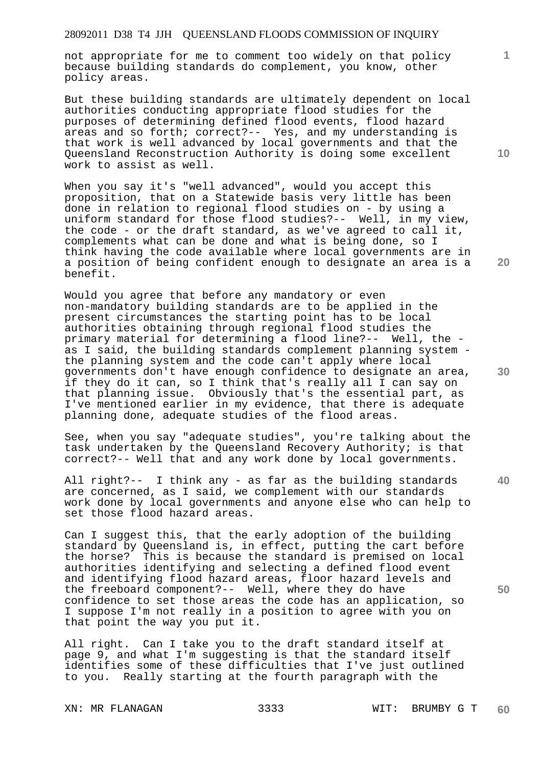not appropriate for me to comment too widely on that policy because building standards do complement, you know, other policy areas.

But these building standards are ultimately dependent on local authorities conducting appropriate flood studies for the purposes of determining defined flood events, flood hazard areas and so forth; correct?-- Yes, and my understanding is that work is well advanced by local governments and that the Queensland Reconstruction Authority is doing some excellent work to assist as well.

When you say it's "well advanced", would you accept this proposition, that on a Statewide basis very little has been done in relation to regional flood studies on - by using a uniform standard for those flood studies?-- Well, in my view, the code - or the draft standard, as we've agreed to call it, complements what can be done and what is being done, so I think having the code available where local governments are in a position of being confident enough to designate an area is a benefit.

Would you agree that before any mandatory or even non-mandatory building standards are to be applied in the present circumstances the starting point has to be local authorities obtaining through regional flood studies the primary material for determining a flood line?-- Well, the as I said, the building standards complement planning system the planning system and the code can't apply where local governments don't have enough confidence to designate an area, if they do it can, so I think that's really all I can say on that planning issue. Obviously that's the essential part, as I've mentioned earlier in my evidence, that there is adequate planning done, adequate studies of the flood areas.

See, when you say "adequate studies", you're talking about the task undertaken by the Queensland Recovery Authority; is that correct?-- Well that and any work done by local governments.

All right?-- I think any - as far as the building standards are concerned, as I said, we complement with our standards work done by local governments and anyone else who can help to set those flood hazard areas.

Can I suggest this, that the early adoption of the building standard by Queensland is, in effect, putting the cart before the horse? This is because the standard is premised on local authorities identifying and selecting a defined flood event and identifying flood hazard areas, floor hazard levels and the freeboard component?-- Well, where they do have confidence to set those areas the code has an application, so I suppose I'm not really in a position to agree with you on that point the way you put it.

All right. Can I take you to the draft standard itself at page 9, and what I'm suggesting is that the standard itself identifies some of these difficulties that I've just outlined to you. Really starting at the fourth paragraph with the

**10** 

**1**

**20** 

**30** 

**50**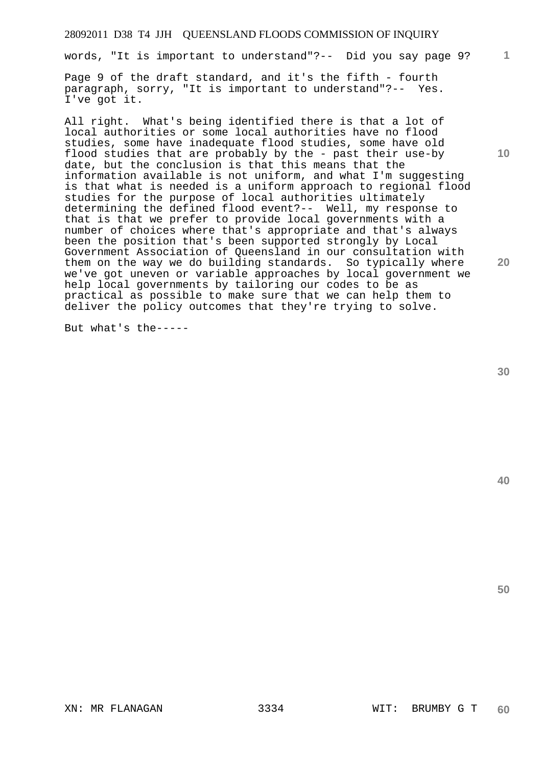words, "It is important to understand"?-- Did you say page 9?

Page 9 of the draft standard, and it's the fifth - fourth paragraph, sorry, "It is important to understand"?-- Yes. I've got it.

All right. What's being identified there is that a lot of local authorities or some local authorities have no flood studies, some have inadequate flood studies, some have old flood studies that are probably by the - past their use-by date, but the conclusion is that this means that the information available is not uniform, and what I'm suggesting is that what is needed is a uniform approach to regional flood studies for the purpose of local authorities ultimately determining the defined flood event?-- Well, my response to that is that we prefer to provide local governments with a number of choices where that's appropriate and that's always been the position that's been supported strongly by Local Government Association of Queensland in our consultation with them on the way we do building standards. So typically where we've got uneven or variable approaches by local government we help local governments by tailoring our codes to be as practical as possible to make sure that we can help them to deliver the policy outcomes that they're trying to solve.

But what's the-----

**30** 

**40** 

**50** 

**1**

**10**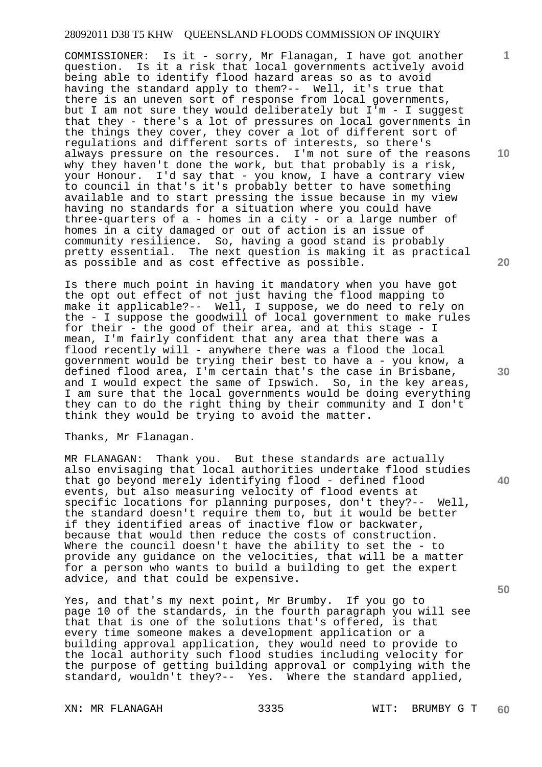COMMISSIONER: Is it - sorry, Mr Flanagan, I have got another question. Is it a risk that local governments actively avoid being able to identify flood hazard areas so as to avoid having the standard apply to them?-- Well, it's true that there is an uneven sort of response from local governments, but I am not sure they would deliberately but I'm - I suggest that they - there's a lot of pressures on local governments in the things they cover, they cover a lot of different sort of regulations and different sorts of interests, so there's always pressure on the resources. I'm not sure of the reasons why they haven't done the work, but that probably is a risk, your Honour. I'd say that - you know, I have a contrary view to council in that's it's probably better to have something available and to start pressing the issue because in my view having no standards for a situation where you could have three-quarters of a - homes in a city - or a large number of homes in a city damaged or out of action is an issue of community resilience. So, having a good stand is probably pretty essential. The next question is making it as practical as possible and as cost effective as possible.

Is there much point in having it mandatory when you have got the opt out effect of not just having the flood mapping to make it applicable?-- Well, I suppose, we do need to rely on the - I suppose the goodwill of local government to make rules for their - the good of their area, and at this stage - I mean, I'm fairly confident that any area that there was a flood recently will - anywhere there was a flood the local government would be trying their best to have a - you know, a defined flood area, I'm certain that's the case in Brisbane, and I would expect the same of Ipswich. So, in the key areas, I am sure that the local governments would be doing everything they can to do the right thing by their community and I don't think they would be trying to avoid the matter.

Thanks, Mr Flanagan.

MR FLANAGAN: Thank you. But these standards are actually also envisaging that local authorities undertake flood studies that go beyond merely identifying flood - defined flood events, but also measuring velocity of flood events at specific locations for planning purposes, don't they?-- Well, the standard doesn't require them to, but it would be better if they identified areas of inactive flow or backwater, because that would then reduce the costs of construction. Where the council doesn't have the ability to set the - to provide any guidance on the velocities, that will be a matter for a person who wants to build a building to get the expert advice, and that could be expensive.

Yes, and that's my next point, Mr Brumby. If you go to page 10 of the standards, in the fourth paragraph you will see that that is one of the solutions that's offered, is that every time someone makes a development application or a building approval application, they would need to provide to the local authority such flood studies including velocity for the purpose of getting building approval or complying with the standard, wouldn't they?-- Yes. Where the standard applied,

**10** 

**1**

**20** 

**30** 

**40**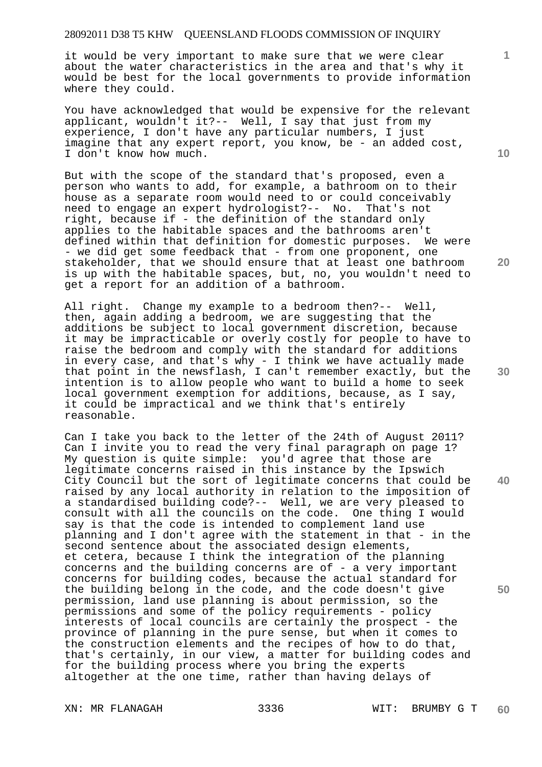it would be very important to make sure that we were clear about the water characteristics in the area and that's why it would be best for the local governments to provide information where they could.

You have acknowledged that would be expensive for the relevant applicant, wouldn't it?-- Well, I say that just from my experience, I don't have any particular numbers, I just imagine that any expert report, you know, be - an added cost, I don't know how much.

But with the scope of the standard that's proposed, even a person who wants to add, for example, a bathroom on to their house as a separate room would need to or could conceivably need to engage an expert hydrologist?-- No. That's not right, because if - the definition of the standard only applies to the habitable spaces and the bathrooms aren't defined within that definition for domestic purposes. We were - we did get some feedback that - from one proponent, one stakeholder, that we should ensure that at least one bathroom is up with the habitable spaces, but, no, you wouldn't need to get a report for an addition of a bathroom.

All right. Change my example to a bedroom then?-- Well, then, again adding a bedroom, we are suggesting that the additions be subject to local government discretion, because it may be impracticable or overly costly for people to have to raise the bedroom and comply with the standard for additions in every case, and that's why - I think we have actually made that point in the newsflash, I can't remember exactly, but the intention is to allow people who want to build a home to seek local government exemption for additions, because, as I say, it could be impractical and we think that's entirely reasonable.

Can I take you back to the letter of the 24th of August 2011? Can I invite you to read the very final paragraph on page 1? My question is quite simple: you'd agree that those are legitimate concerns raised in this instance by the Ipswich City Council but the sort of legitimate concerns that could be raised by any local authority in relation to the imposition of a standardised building code?-- Well, we are very pleased to consult with all the councils on the code. One thing I would say is that the code is intended to complement land use planning and I don't agree with the statement in that - in the second sentence about the associated design elements, et cetera, because I think the integration of the planning concerns and the building concerns are of - a very important concerns for building codes, because the actual standard for the building belong in the code, and the code doesn't give permission, land use planning is about permission, so the permissions and some of the policy requirements - policy interests of local councils are certainly the prospect - the province of planning in the pure sense, but when it comes to the construction elements and the recipes of how to do that, that's certainly, in our view, a matter for building codes and for the building process where you bring the experts altogether at the one time, rather than having delays of

**10** 

**1**

**20** 

**40** 

**50**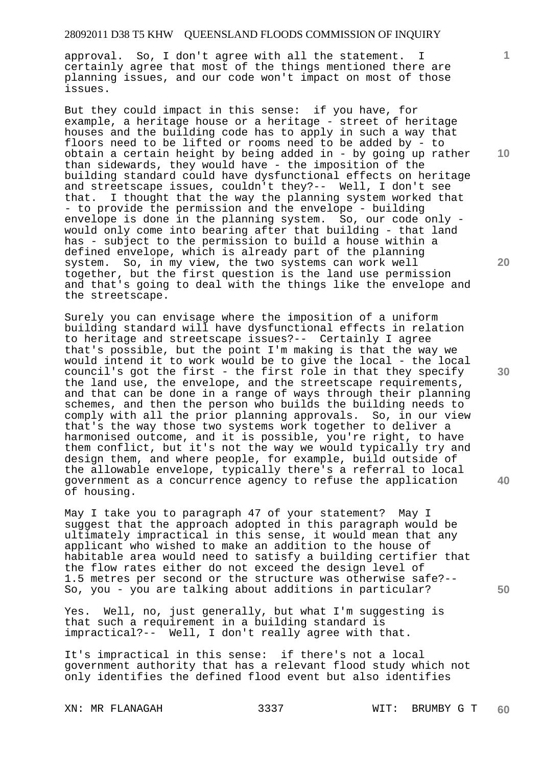approval. So, I don't agree with all the statement. I certainly agree that most of the things mentioned there are planning issues, and our code won't impact on most of those issues.

But they could impact in this sense: if you have, for example, a heritage house or a heritage - street of heritage houses and the building code has to apply in such a way that floors need to be lifted or rooms need to be added by - to obtain a certain height by being added in - by going up rather than sidewards, they would have - the imposition of the building standard could have dysfunctional effects on heritage and streetscape issues, couldn't they?-- Well, I don't see that. I thought that the way the planning system worked that - to provide the permission and the envelope - building envelope is done in the planning system. So, our code only would only come into bearing after that building - that land has - subject to the permission to build a house within a defined envelope, which is already part of the planning system. So, in my view, the two systems can work well together, but the first question is the land use permission and that's going to deal with the things like the envelope and the streetscape.

Surely you can envisage where the imposition of a uniform building standard will have dysfunctional effects in relation to heritage and streetscape issues?-- Certainly I agree that's possible, but the point I'm making is that the way we would intend it to work would be to give the local - the local council's got the first - the first role in that they specify the land use, the envelope, and the streetscape requirements, and that can be done in a range of ways through their planning schemes, and then the person who builds the building needs to comply with all the prior planning approvals. So, in our view that's the way those two systems work together to deliver a harmonised outcome, and it is possible, you're right, to have them conflict, but it's not the way we would typically try and design them, and where people, for example, build outside of the allowable envelope, typically there's a referral to local government as a concurrence agency to refuse the application of housing.

May I take you to paragraph 47 of your statement? May I suggest that the approach adopted in this paragraph would be ultimately impractical in this sense, it would mean that any applicant who wished to make an addition to the house of habitable area would need to satisfy a building certifier that the flow rates either do not exceed the design level of 1.5 metres per second or the structure was otherwise safe?-- So, you - you are talking about additions in particular?

Yes. Well, no, just generally, but what I'm suggesting is that such a requirement in a building standard is impractical?-- Well, I don't really agree with that.

It's impractical in this sense: if there's not a local government authority that has a relevant flood study which not only identifies the defined flood event but also identifies

**10** 

**1**

**20** 

**30** 

**40**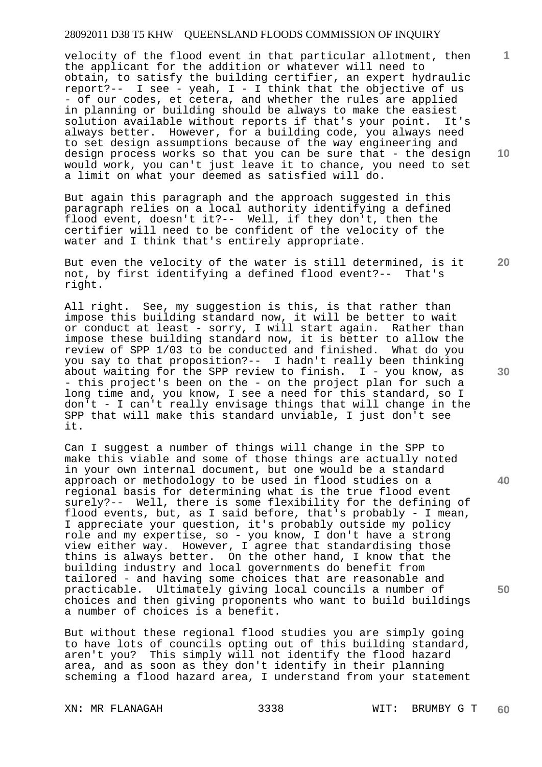velocity of the flood event in that particular allotment, then the applicant for the addition or whatever will need to obtain, to satisfy the building certifier, an expert hydraulic report?-- I see - yeah, I - I think that the objective of us - of our codes, et cetera, and whether the rules are applied in planning or building should be always to make the easiest solution available without reports if that's your point. It's always better. However, for a building code, you always need to set design assumptions because of the way engineering and design process works so that you can be sure that - the design would work, you can't just leave it to chance, you need to set a limit on what your deemed as satisfied will do.

But again this paragraph and the approach suggested in this paragraph relies on a local authority identifying a defined flood event, doesn't it?-- Well, if they don't, then the certifier will need to be confident of the velocity of the water and I think that's entirely appropriate.

But even the velocity of the water is still determined, is it not, by first identifying a defined flood event?-- That's right.

All right. See, my suggestion is this, is that rather than impose this building standard now, it will be better to wait or conduct at least - sorry, I will start again. Rather than impose these building standard now, it is better to allow the review of SPP 1/03 to be conducted and finished. What do you you say to that proposition?-- I hadn't really been thinking about waiting for the SPP review to finish.  $I - you know, as$ - this project's been on the - on the project plan for such a long time and, you know, I see a need for this standard, so I don't - I can't really envisage things that will change in the SPP that will make this standard unviable, I just don't see it.

Can I suggest a number of things will change in the SPP to make this viable and some of those things are actually noted in your own internal document, but one would be a standard approach or methodology to be used in flood studies on a regional basis for determining what is the true flood event surely?-- Well, there is some flexibility for the defining of flood events, but, as I said before, that's probably - I mean, I appreciate your question, it's probably outside my policy role and my expertise, so - you know, I don't have a strong view either way. However, I agree that standardising those thins is always better. On the other hand, I know that the building industry and local governments do benefit from tailored - and having some choices that are reasonable and practicable. Ultimately giving local councils a number of choices and then giving proponents who want to build buildings a number of choices is a benefit.

But without these regional flood studies you are simply going to have lots of councils opting out of this building standard, aren't you? This simply will not identify the flood hazard area, and as soon as they don't identify in their planning scheming a flood hazard area, I understand from your statement

**10** 

**1**

**30** 

**20** 

**40**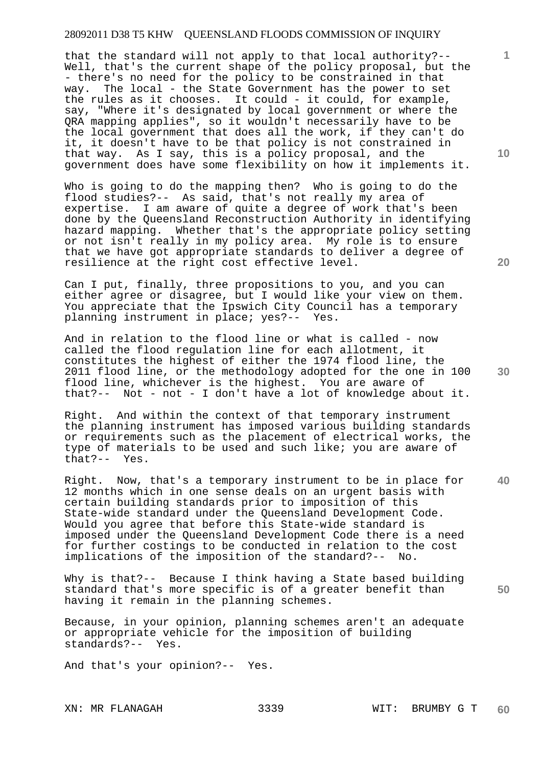that the standard will not apply to that local authority?-- Well, that's the current shape of the policy proposal, but the - there's no need for the policy to be constrained in that way. The local - the State Government has the power to set the rules as it chooses. It could - it could, for example, say, "Where it's designated by local government or where the QRA mapping applies", so it wouldn't necessarily have to be the local government that does all the work, if they can't do it, it doesn't have to be that policy is not constrained in that way. As I say, this is a policy proposal, and the government does have some flexibility on how it implements it.

Who is going to do the mapping then? Who is going to do the flood studies?-- As said, that's not really my area of expertise. I am aware of quite a degree of work that's been done by the Queensland Reconstruction Authority in identifying hazard mapping. Whether that's the appropriate policy setting or not isn't really in my policy area. My role is to ensure that we have got appropriate standards to deliver a degree of resilience at the right cost effective level.

Can I put, finally, three propositions to you, and you can either agree or disagree, but I would like your view on them. You appreciate that the Ipswich City Council has a temporary planning instrument in place; yes?-- Yes.

And in relation to the flood line or what is called - now called the flood regulation line for each allotment, it constitutes the highest of either the 1974 flood line, the 2011 flood line, or the methodology adopted for the one in 100 flood line, whichever is the highest. You are aware of that?-- Not - not - I don't have a lot of knowledge about it.

Right. And within the context of that temporary instrument the planning instrument has imposed various building standards or requirements such as the placement of electrical works, the type of materials to be used and such like; you are aware of that?-- Yes.

**40**  Right. Now, that's a temporary instrument to be in place for 12 months which in one sense deals on an urgent basis with certain building standards prior to imposition of this State-wide standard under the Queensland Development Code. Would you agree that before this State-wide standard is imposed under the Queensland Development Code there is a need for further costings to be conducted in relation to the cost implications of the imposition of the standard?-- No.

Why is that?-- Because I think having a State based building standard that's more specific is of a greater benefit than having it remain in the planning schemes.

Because, in your opinion, planning schemes aren't an adequate or appropriate vehicle for the imposition of building standards?-- Yes.

And that's your opinion?-- Yes.

**10** 

**1**

**50**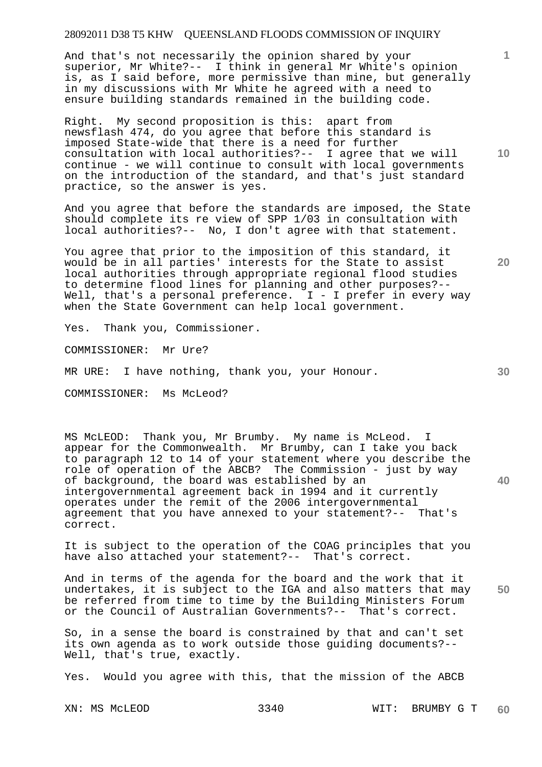And that's not necessarily the opinion shared by your superior, Mr White?-- I think in general Mr White's opinion is, as I said before, more permissive than mine, but generally in my discussions with Mr White he agreed with a need to ensure building standards remained in the building code.

Right. My second proposition is this: apart from newsflash 474, do you agree that before this standard is imposed State-wide that there is a need for further consultation with local authorities?-- I agree that we will continue - we will continue to consult with local governments on the introduction of the standard, and that's just standard practice, so the answer is yes.

And you agree that before the standards are imposed, the State should complete its re view of SPP 1/03 in consultation with local authorities?-- No, I don't agree with that statement.

You agree that prior to the imposition of this standard, it would be in all parties' interests for the State to assist local authorities through appropriate regional flood studies to determine flood lines for planning and other purposes?-- Well, that's a personal preference.  $I - I$  prefer in every way when the State Government can help local government.

Yes. Thank you, Commissioner.

COMMISSIONER: Mr Ure?

MR URE: I have nothing, thank you, your Honour.

COMMISSIONER: Ms McLeod?

MS McLEOD: Thank you, Mr Brumby. My name is McLeod. I appear for the Commonwealth. Mr Brumby, can I take you back to paragraph 12 to 14 of your statement where you describe the role of operation of the ABCB? The Commission - just by way of background, the board was established by an intergovernmental agreement back in 1994 and it currently operates under the remit of the 2006 intergovernmental agreement that you have annexed to your statement?-- That's correct.

It is subject to the operation of the COAG principles that you have also attached your statement?-- That's correct.

**50**  And in terms of the agenda for the board and the work that it undertakes, it is subject to the IGA and also matters that may be referred from time to time by the Building Ministers Forum or the Council of Australian Governments?-- That's correct.

So, in a sense the board is constrained by that and can't set its own agenda as to work outside those guiding documents?-- Well, that's true, exactly.

Yes. Would you agree with this, that the mission of the ABCB

XN: MS McLEOD 3340 WIT: BRUMBY G T **60** 

**10** 

**1**

**20**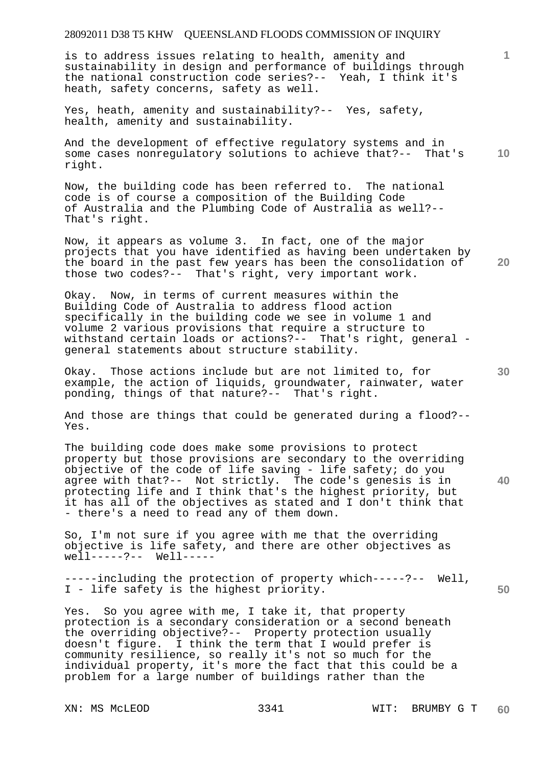is to address issues relating to health, amenity and sustainability in design and performance of buildings through the national construction code series?-- Yeah, I think it's heath, safety concerns, safety as well.

Yes, heath, amenity and sustainability?-- Yes, safety, health, amenity and sustainability.

**10**  And the development of effective regulatory systems and in some cases nonregulatory solutions to achieve that?-- That's right.

Now, the building code has been referred to. The national code is of course a composition of the Building Code of Australia and the Plumbing Code of Australia as well?-- That's right.

Now, it appears as volume 3. In fact, one of the major projects that you have identified as having been undertaken by the board in the past few years has been the consolidation of those two codes?-- That's right, very important work.

Okay. Now, in terms of current measures within the Building Code of Australia to address flood action specifically in the building code we see in volume 1 and volume 2 various provisions that require a structure to withstand certain loads or actions?-- That's right, general general statements about structure stability.

Okay. Those actions include but are not limited to, for example, the action of liquids, groundwater, rainwater, water ponding, things of that nature?-- That's right.

And those are things that could be generated during a flood?-- Yes.

The building code does make some provisions to protect property but those provisions are secondary to the overriding objective of the code of life saving - life safety; do you agree with that?-- Not strictly. The code's genesis is in protecting life and I think that's the highest priority, but it has all of the objectives as stated and I don't think that - there's a need to read any of them down.

So, I'm not sure if you agree with me that the overriding objective is life safety, and there are other objectives as we<sup>1</sup>l-----?-- Well-----

**50**  -----including the protection of property which-----?-- Well, I - life safety is the highest priority.

Yes. So you agree with me, I take it, that property protection is a secondary consideration or a second beneath the overriding objective?-- Property protection usually doesn't figure. I think the term that I would prefer is community resilience, so really it's not so much for the individual property, it's more the fact that this could be a problem for a large number of buildings rather than the

**1**

**30** 

**40**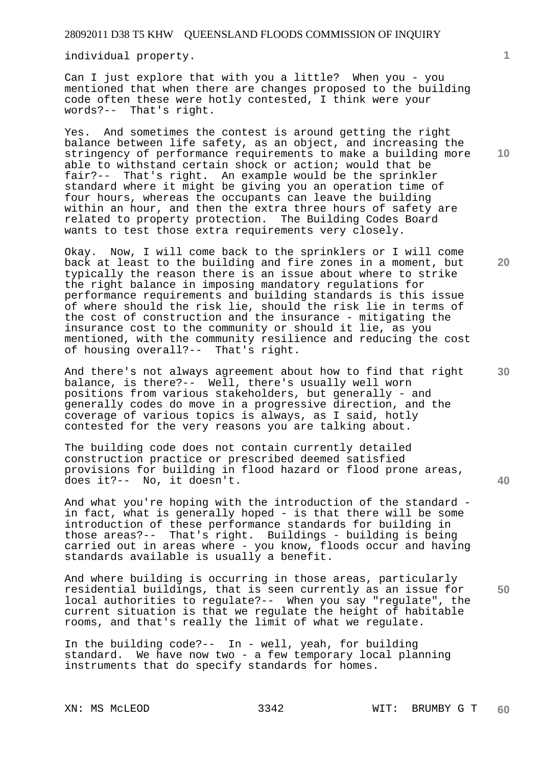individual property.

Can I just explore that with you a little? When you - you mentioned that when there are changes proposed to the building code often these were hotly contested, I think were your words?-- That's right.

Yes. And sometimes the contest is around getting the right balance between life safety, as an object, and increasing the stringency of performance requirements to make a building more able to withstand certain shock or action; would that be fair?-- That's right. An example would be the sprinkler standard where it might be giving you an operation time of four hours, whereas the occupants can leave the building within an hour, and then the extra three hours of safety are related to property protection. The Building Codes Board wants to test those extra requirements very closely.

Okay. Now, I will come back to the sprinklers or I will come back at least to the building and fire zones in a moment, but typically the reason there is an issue about where to strike the right balance in imposing mandatory regulations for performance requirements and building standards is this issue of where should the risk lie, should the risk lie in terms of the cost of construction and the insurance - mitigating the insurance cost to the community or should it lie, as you mentioned, with the community resilience and reducing the cost of housing overall?-- That's right.

And there's not always agreement about how to find that right balance, is there?-- Well, there's usually well worn positions from various stakeholders, but generally - and generally codes do move in a progressive direction, and the coverage of various topics is always, as I said, hotly contested for the very reasons you are talking about.

The building code does not contain currently detailed construction practice or prescribed deemed satisfied provisions for building in flood hazard or flood prone areas, does it?-- No, it doesn't.

And what you're hoping with the introduction of the standard in fact, what is generally hoped - is that there will be some introduction of these performance standards for building in those areas?-- That's right. Buildings - building is being carried out in areas where - you know, floods occur and having standards available is usually a benefit.

And where building is occurring in those areas, particularly residential buildings, that is seen currently as an issue for local authorities to regulate?-- When you say "regulate", the current situation is that we regulate the height of habitable rooms, and that's really the limit of what we regulate.

In the building code?-- In - well, yeah, for building standard. We have now two - a few temporary local planning instruments that do specify standards for homes.

**1**

**30** 

**20** 

**40**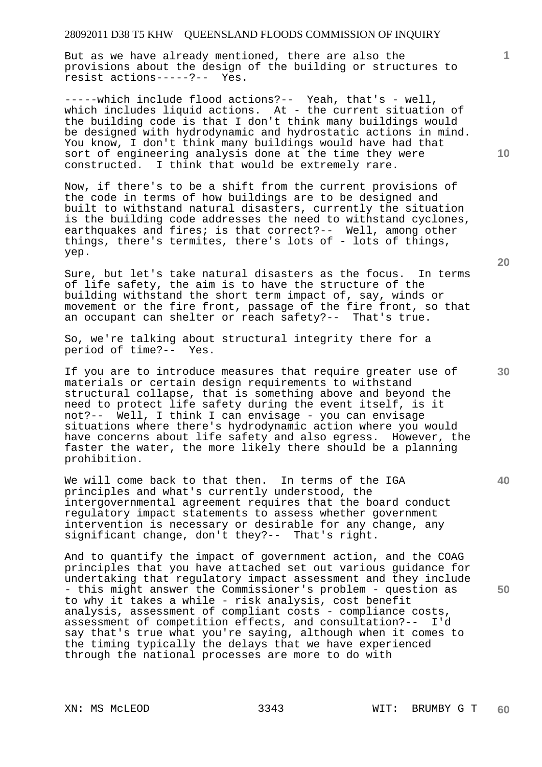But as we have already mentioned, there are also the provisions about the design of the building or structures to resist actions-----?-- Yes.

-----which include flood actions?-- Yeah, that's - well, which includes liquid actions. At - the current situation of the building code is that I don't think many buildings would be designed with hydrodynamic and hydrostatic actions in mind. You know, I don't think many buildings would have had that sort of engineering analysis done at the time they were constructed. I think that would be extremely rare.

Now, if there's to be a shift from the current provisions of the code in terms of how buildings are to be designed and built to withstand natural disasters, currently the situation is the building code addresses the need to withstand cyclones, earthquakes and fires; is that correct?-- Well, among other things, there's termites, there's lots of - lots of things, yep.

Sure, but let's take natural disasters as the focus. In terms of life safety, the aim is to have the structure of the building withstand the short term impact of, say, winds or movement or the fire front, passage of the fire front, so that an occupant can shelter or reach safety?-- That's true.

So, we're talking about structural integrity there for a period of time?-- Yes.

If you are to introduce measures that require greater use of materials or certain design requirements to withstand structural collapse, that is something above and beyond the need to protect life safety during the event itself, is it not?-- Well, I think I can envisage - you can envisage situations where there's hydrodynamic action where you would have concerns about life safety and also egress. However, the faster the water, the more likely there should be a planning prohibition.

We will come back to that then. In terms of the IGA principles and what's currently understood, the intergovernmental agreement requires that the board conduct regulatory impact statements to assess whether government intervention is necessary or desirable for any change, any significant change, don't they?-- That's right.

And to quantify the impact of government action, and the COAG principles that you have attached set out various guidance for undertaking that regulatory impact assessment and they include - this might answer the Commissioner's problem - question as to why it takes a while - risk analysis, cost benefit analysis, assessment of compliant costs - compliance costs, assessment of competition effects, and consultation?-- I'd say that's true what you're saying, although when it comes to the timing typically the delays that we have experienced through the national processes are more to do with

**20** 

**10** 

**1**

**50**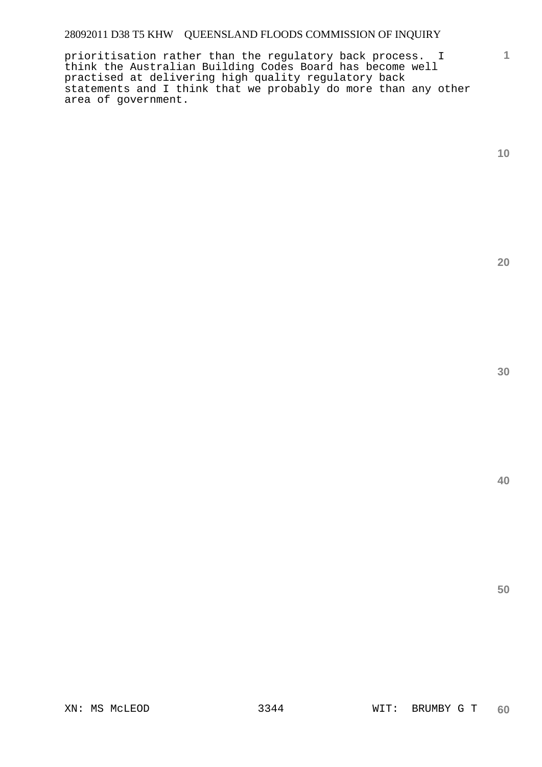prioritisation rather than the regulatory back process. I think the Australian Building Codes Board has become well practised at delivering high quality regulatory back statements and I think that we probably do more than any other area of government.

**10** 

**1**

**20** 

**30**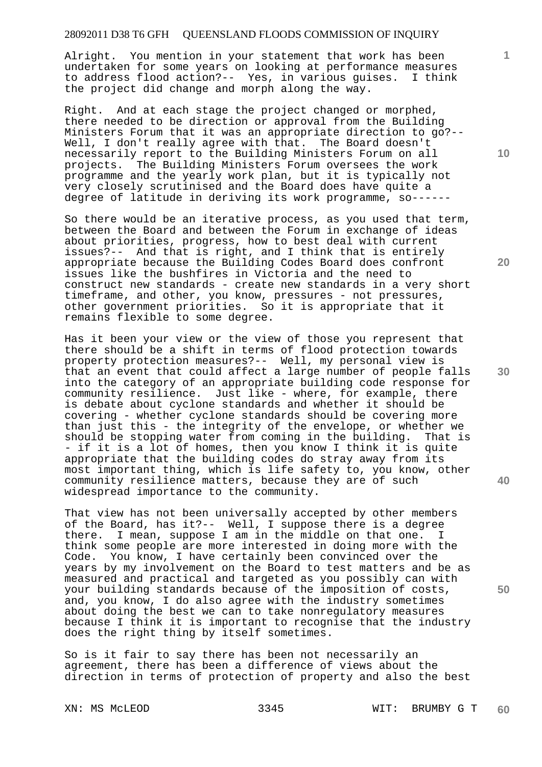Alright. You mention in your statement that work has been undertaken for some years on looking at performance measures to address flood action?-- Yes, in various guises. I think the project did change and morph along the way.

Right. And at each stage the project changed or morphed, there needed to be direction or approval from the Building Ministers Forum that it was an appropriate direction to go?-- Well, I don't really agree with that. The Board doesn't necessarily report to the Building Ministers Forum on all projects. The Building Ministers Forum oversees the work programme and the yearly work plan, but it is typically not very closely scrutinised and the Board does have quite a degree of latitude in deriving its work programme, so------

So there would be an iterative process, as you used that term, between the Board and between the Forum in exchange of ideas about priorities, progress, how to best deal with current issues?-- And that is right, and I think that is entirely appropriate because the Building Codes Board does confront issues like the bushfires in Victoria and the need to construct new standards - create new standards in a very short timeframe, and other, you know, pressures - not pressures, other government priorities. So it is appropriate that it remains flexible to some degree.

Has it been your view or the view of those you represent that there should be a shift in terms of flood protection towards property protection measures?-- Well, my personal view is that an event that could affect a large number of people falls into the category of an appropriate building code response for community resilience. Just like - where, for example, there is debate about cyclone standards and whether it should be covering - whether cyclone standards should be covering more than just this - the integrity of the envelope, or whether we should be stopping water from coming in the building. That is - if it is a lot of homes, then you know I think it is quite appropriate that the building codes do stray away from its most important thing, which is life safety to, you know, other community resilience matters, because they are of such widespread importance to the community.

That view has not been universally accepted by other members of the Board, has it?-- Well, I suppose there is a degree there. I mean, suppose I am in the middle on that one. I think some people are more interested in doing more with the Code. You know, I have certainly been convinced over the years by my involvement on the Board to test matters and be as measured and practical and targeted as you possibly can with your building standards because of the imposition of costs, and, you know, I do also agree with the industry sometimes about doing the best we can to take nonregulatory measures because I think it is important to recognise that the industry does the right thing by itself sometimes.

So is it fair to say there has been not necessarily an agreement, there has been a difference of views about the direction in terms of protection of property and also the best

**10** 

**1**

**20** 

**30** 

**40**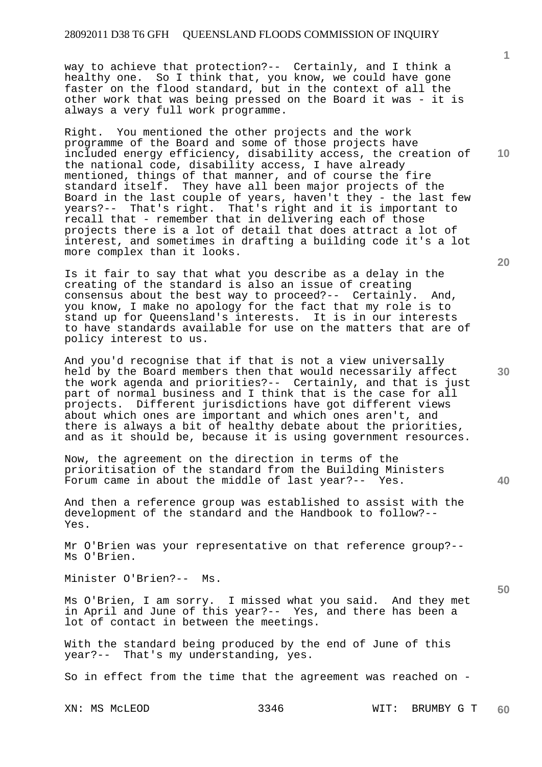way to achieve that protection?-- Certainly, and I think a healthy one. So I think that, you know, we could have gone faster on the flood standard, but in the context of all the other work that was being pressed on the Board it was - it is always a very full work programme.

Right. You mentioned the other projects and the work programme of the Board and some of those projects have included energy efficiency, disability access, the creation of the national code, disability access, I have already mentioned, things of that manner, and of course the fire standard itself. They have all been major projects of the Board in the last couple of years, haven't they - the last few years?-- That's right. That's right and it is important to recall that - remember that in delivering each of those projects there is a lot of detail that does attract a lot of interest, and sometimes in drafting a building code it's a lot more complex than it looks.

Is it fair to say that what you describe as a delay in the creating of the standard is also an issue of creating consensus about the best way to proceed?-- Certainly. And, you know, I make no apology for the fact that my role is to stand up for Queensland's interests. It is in our interests to have standards available for use on the matters that are of policy interest to us.

And you'd recognise that if that is not a view universally held by the Board members then that would necessarily affect the work agenda and priorities?-- Certainly, and that is just part of normal business and I think that is the case for all projects. Different jurisdictions have got different views about which ones are important and which ones aren't, and there is always a bit of healthy debate about the priorities, and as it should be, because it is using government resources.

Now, the agreement on the direction in terms of the prioritisation of the standard from the Building Ministers Forum came in about the middle of last year?-- Yes.

And then a reference group was established to assist with the development of the standard and the Handbook to follow?-- Yes.

Mr O'Brien was your representative on that reference group?-- Ms O'Brien.

Minister O'Brien?-- Ms.

Ms O'Brien, I am sorry. I missed what you said. And they met in April and June of this year?-- Yes, and there has been a lot of contact in between the meetings.

With the standard being produced by the end of June of this year?-- That's my understanding, yes.

So in effect from the time that the agreement was reached on -

XN: MS McLEOD 3346 WIT: BRUMBY G T **60** 

**10** 

**1**

**20** 

**50**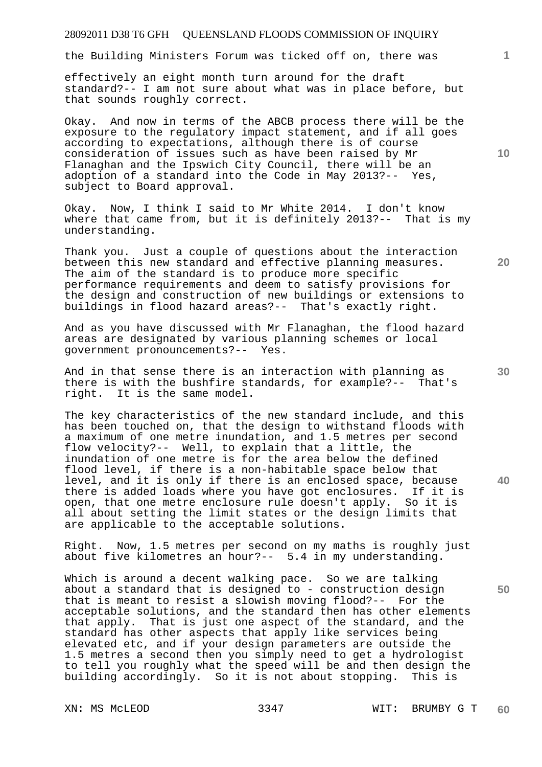the Building Ministers Forum was ticked off on, there was

effectively an eight month turn around for the draft standard?-- I am not sure about what was in place before, but that sounds roughly correct.

Okay. And now in terms of the ABCB process there will be the exposure to the regulatory impact statement, and if all goes according to expectations, although there is of course consideration of issues such as have been raised by Mr Flanaghan and the Ipswich City Council, there will be an adoption of a standard into the Code in May 2013?-- Yes, subject to Board approval.

Okay. Now, I think I said to Mr White 2014. I don't know where that came from, but it is definitely 2013?-- That is my understanding.

Thank you. Just a couple of questions about the interaction between this new standard and effective planning measures. The aim of the standard is to produce more specific performance requirements and deem to satisfy provisions for the design and construction of new buildings or extensions to buildings in flood hazard areas?-- That's exactly right.

And as you have discussed with Mr Flanaghan, the flood hazard areas are designated by various planning schemes or local government pronouncements?-- Yes.

And in that sense there is an interaction with planning as there is with the bushfire standards, for example?-- That's right. It is the same model.

The key characteristics of the new standard include, and this has been touched on, that the design to withstand floods with a maximum of one metre inundation, and 1.5 metres per second flow velocity?-- Well, to explain that a little, the inundation of one metre is for the area below the defined flood level, if there is a non-habitable space below that level, and it is only if there is an enclosed space, because there is added loads where you have got enclosures. If it is open, that one metre enclosure rule doesn't apply. So it is all about setting the limit states or the design limits that are applicable to the acceptable solutions.

Right. Now, 1.5 metres per second on my maths is roughly just about five kilometres an hour?-- 5.4 in my understanding.

Which is around a decent walking pace. So we are talking about a standard that is designed to - construction design that is meant to resist a slowish moving flood?-- For the acceptable solutions, and the standard then has other elements that apply. That is just one aspect of the standard, and the standard has other aspects that apply like services being elevated etc, and if your design parameters are outside the 1.5 metres a second then you simply need to get a hydrologist to tell you roughly what the speed will be and then design the building accordingly. So it is not about stopping. This is

**10** 

**1**

**20** 

**30** 

**50**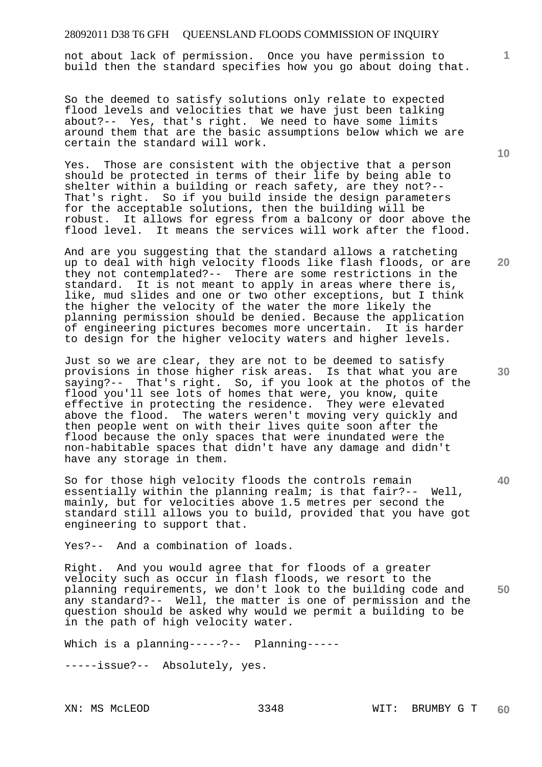not about lack of permission. Once you have permission to build then the standard specifies how you go about doing that.

So the deemed to satisfy solutions only relate to expected flood levels and velocities that we have just been talking about?-- Yes, that's right. We need to have some limits around them that are the basic assumptions below which we are certain the standard will work.

Yes. Those are consistent with the objective that a person should be protected in terms of their life by being able to shelter within a building or reach safety, are they not?-- That's right. So if you build inside the design parameters for the acceptable solutions, then the building will be robust. It allows for egress from a balcony or door above the flood level. It means the services will work after the flood.

And are you suggesting that the standard allows a ratcheting up to deal with high velocity floods like flash floods, or are they not contemplated?-- There are some restrictions in the standard. It is not meant to apply in areas where there is, like, mud slides and one or two other exceptions, but I think the higher the velocity of the water the more likely the planning permission should be denied. Because the application of engineering pictures becomes more uncertain. It is harder to design for the higher velocity waters and higher levels.

Just so we are clear, they are not to be deemed to satisfy provisions in those higher risk areas. Is that what you are saying?-- That's right. So, if you look at the photos of the flood you'll see lots of homes that were, you know, quite effective in protecting the residence. They were elevated above the flood. The waters weren't moving very quickly and then people went on with their lives quite soon after the flood because the only spaces that were inundated were the non-habitable spaces that didn't have any damage and didn't have any storage in them.

So for those high velocity floods the controls remain essentially within the planning realm; is that fair?-- Well, mainly, but for velocities above 1.5 metres per second the standard still allows you to build, provided that you have got engineering to support that.

Yes?-- And a combination of loads.

**50**  Right. And you would agree that for floods of a greater velocity such as occur in flash floods, we resort to the planning requirements, we don't look to the building code and any standard?-- Well, the matter is one of permission and the question should be asked why would we permit a building to be in the path of high velocity water.

Which is a planning-----?-- Planning-----

-----issue?-- Absolutely, yes.

**10** 

**1**

**20** 

**40**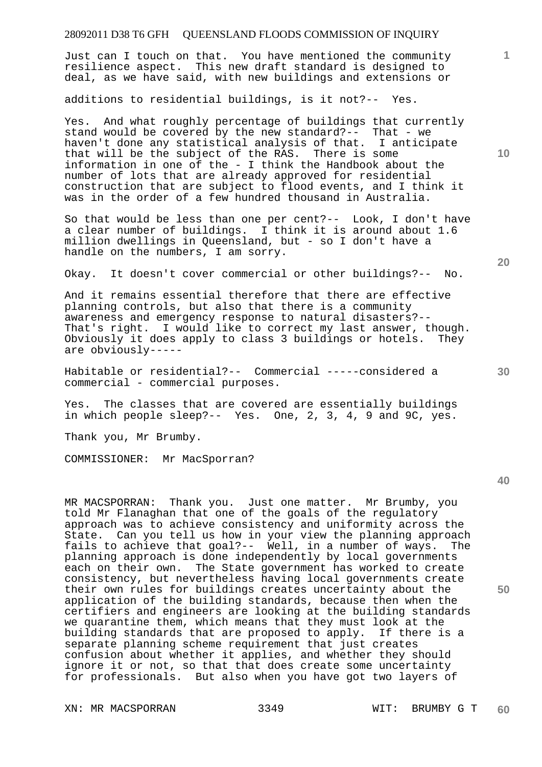Just can I touch on that. You have mentioned the community resilience aspect. This new draft standard is designed to deal, as we have said, with new buildings and extensions or

additions to residential buildings, is it not?-- Yes.

Yes. And what roughly percentage of buildings that currently stand would be covered by the new standard?-- That - we haven't done any statistical analysis of that. I anticipate that will be the subject of the RAS. There is some information in one of the - I think the Handbook about the number of lots that are already approved for residential construction that are subject to flood events, and I think it was in the order of a few hundred thousand in Australia.

So that would be less than one per cent?-- Look, I don't have a clear number of buildings. I think it is around about 1.6 million dwellings in Queensland, but - so I don't have a handle on the numbers, I am sorry.

Okay. It doesn't cover commercial or other buildings?-- No.

And it remains essential therefore that there are effective planning controls, but also that there is a community awareness and emergency response to natural disasters?-- That's right. I would like to correct my last answer, though. Obviously it does apply to class 3 buildings or hotels. They are obviously-----

Habitable or residential?-- Commercial -----considered a commercial - commercial purposes.

Yes. The classes that are covered are essentially buildings in which people sleep?-- Yes. One, 2, 3, 4, 9 and 9C, yes.

Thank you, Mr Brumby.

COMMISSIONER: Mr MacSporran?

MR MACSPORRAN: Thank you. Just one matter. Mr Brumby, you told Mr Flanaghan that one of the goals of the regulatory approach was to achieve consistency and uniformity across the State. Can you tell us how in your view the planning approach fails to achieve that goal?-- Well, in a number of ways. The planning approach is done independently by local governments each on their own. The State government has worked to create consistency, but nevertheless having local governments create their own rules for buildings creates uncertainty about the application of the building standards, because then when the certifiers and engineers are looking at the building standards we quarantine them, which means that they must look at the building standards that are proposed to apply. If there is a separate planning scheme requirement that just creates confusion about whether it applies, and whether they should ignore it or not, so that that does create some uncertainty for professionals. But also when you have got two layers of

XN: MR MACSPORRAN 3349 WIT: BRUMBY G T

**10** 

**1**

**20** 

**30**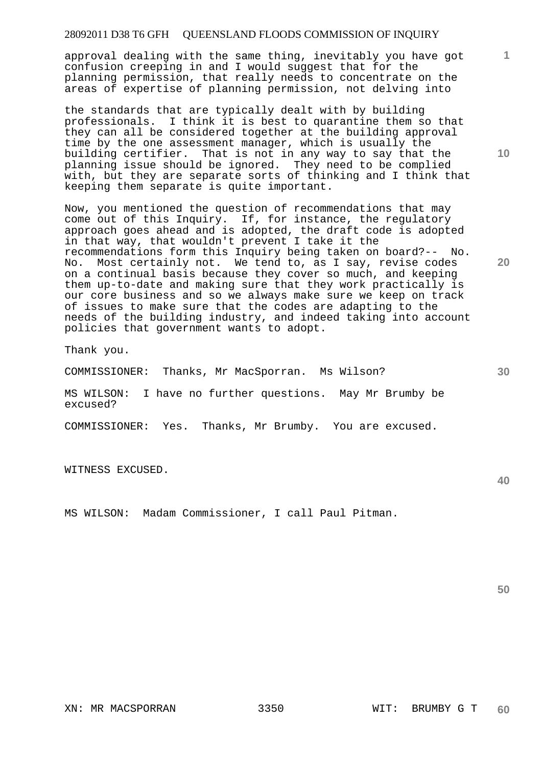approval dealing with the same thing, inevitably you have got confusion creeping in and I would suggest that for the planning permission, that really needs to concentrate on the areas of expertise of planning permission, not delving into

the standards that are typically dealt with by building professionals. I think it is best to quarantine them so that they can all be considered together at the building approval time by the one assessment manager, which is usually the building certifier. That is not in any way to say that the planning issue should be ignored. They need to be complied with, but they are separate sorts of thinking and I think that keeping them separate is quite important.

Now, you mentioned the question of recommendations that may come out of this Inquiry. If, for instance, the regulatory approach goes ahead and is adopted, the draft code is adopted in that way, that wouldn't prevent I take it the recommendations form this Inquiry being taken on board?-- No. No. Most certainly not. We tend to, as I say, revise codes on a continual basis because they cover so much, and keeping them up-to-date and making sure that they work practically is our core business and so we always make sure we keep on track of issues to make sure that the codes are adapting to the needs of the building industry, and indeed taking into account policies that government wants to adopt.

Thank you.

COMMISSIONER: Thanks, Mr MacSporran. Ms Wilson?

MS WILSON: I have no further questions. May Mr Brumby be excused?

COMMISSIONER: Yes. Thanks, Mr Brumby. You are excused.

WITNESS EXCUSED.

MS WILSON: Madam Commissioner, I call Paul Pitman.

**50** 

**10** 

**1**

**30** 

**20**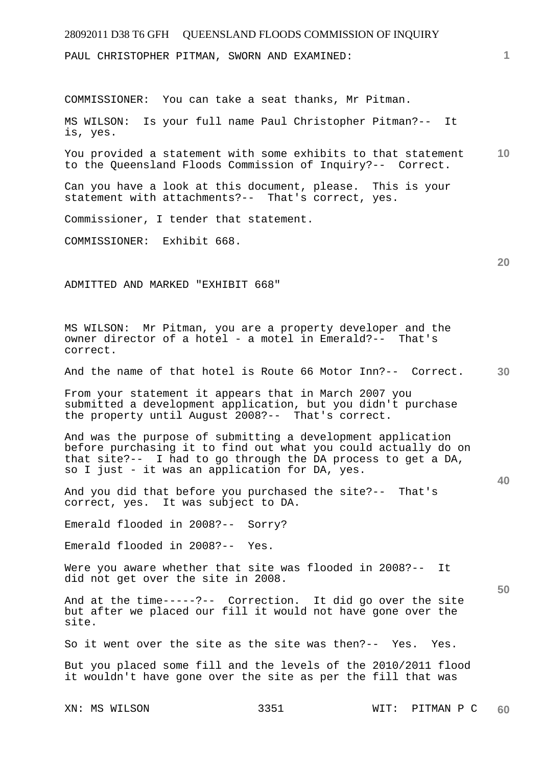## 28092011 D38 T6 GFH QUEENSLAND FLOODS COMMISSION OF INQUIRY **1 10 20 30 40 50**  PAUL CHRISTOPHER PITMAN, SWORN AND EXAMINED: COMMISSIONER: You can take a seat thanks, Mr Pitman. MS WILSON: Is your full name Paul Christopher Pitman?-- It is, yes. You provided a statement with some exhibits to that statement to the Queensland Floods Commission of Inquiry?-- Correct. Can you have a look at this document, please. This is your statement with attachments?-- That's correct, yes. Commissioner, I tender that statement. COMMISSIONER: Exhibit 668. ADMITTED AND MARKED "EXHIBIT 668" MS WILSON: Mr Pitman, you are a property developer and the owner director of a hotel - a motel in Emerald?-- That's correct. And the name of that hotel is Route 66 Motor Inn?-- Correct. From your statement it appears that in March 2007 you submitted a development application, but you didn't purchase the property until August 2008?-- That's correct. And was the purpose of submitting a development application before purchasing it to find out what you could actually do on that site?-- I had to go through the DA process to get a DA, so I just - it was an application for DA, yes. And you did that before you purchased the site?-- That's correct, yes. It was subject to DA. Emerald flooded in 2008?-- Sorry? Emerald flooded in 2008?-- Yes. Were you aware whether that site was flooded in 2008?-- It did not get over the site in 2008. And at the time-----?-- Correction. It did go over the site but after we placed our fill it would not have gone over the site. So it went over the site as the site was then?-- Yes. Yes. But you placed some fill and the levels of the 2010/2011 flood it wouldn't have gone over the site as per the fill that was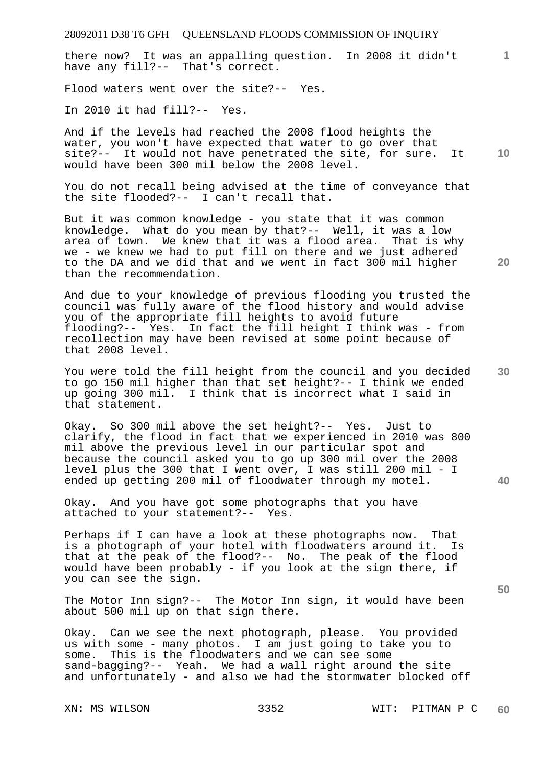there now? It was an appalling question. In 2008 it didn't have any fill?-- That's correct.

Flood waters went over the site?-- Yes.

In 2010 it had fill?-- Yes.

**10**  And if the levels had reached the 2008 flood heights the water, you won't have expected that water to go over that site?-- It would not have penetrated the site, for sure. It would have been 300 mil below the 2008 level.

You do not recall being advised at the time of conveyance that the site flooded?-- I can't recall that.

But it was common knowledge - you state that it was common knowledge. What do you mean by that?-- Well, it was a low area of town. We knew that it was a flood area. That is why we - we knew we had to put fill on there and we just adhered to the DA and we did that and we went in fact 300 mil higher than the recommendation.

And due to your knowledge of previous flooding you trusted the council was fully aware of the flood history and would advise you of the appropriate fill heights to avoid future flooding?-- Yes. In fact the fill height I think was - from recollection may have been revised at some point because of that 2008 level.

**30**  You were told the fill height from the council and you decided to go 150 mil higher than that set height?-- I think we ended up going 300 mil. I think that is incorrect what I said in that statement.

Okay. So 300 mil above the set height?-- Yes. Just to clarify, the flood in fact that we experienced in 2010 was 800 mil above the previous level in our particular spot and because the council asked you to go up 300 mil over the 2008 level plus the 300 that I went over, I was still 200 mil - I ended up getting 200 mil of floodwater through my motel.

Okay. And you have got some photographs that you have attached to your statement?-- Yes.

Perhaps if I can have a look at these photographs now. That is a photograph of your hotel with floodwaters around it. Is that at the peak of the flood?-- No. The peak of the flood would have been probably - if you look at the sign there, if you can see the sign.

The Motor Inn sign?-- The Motor Inn sign, it would have been about 500 mil up on that sign there.

Okay. Can we see the next photograph, please. You provided us with some - many photos. I am just going to take you to some. This is the floodwaters and we can see some sand-bagging?-- Yeah. We had a wall right around the site and unfortunately - and also we had the stormwater blocked off

**20** 

**40** 

**1**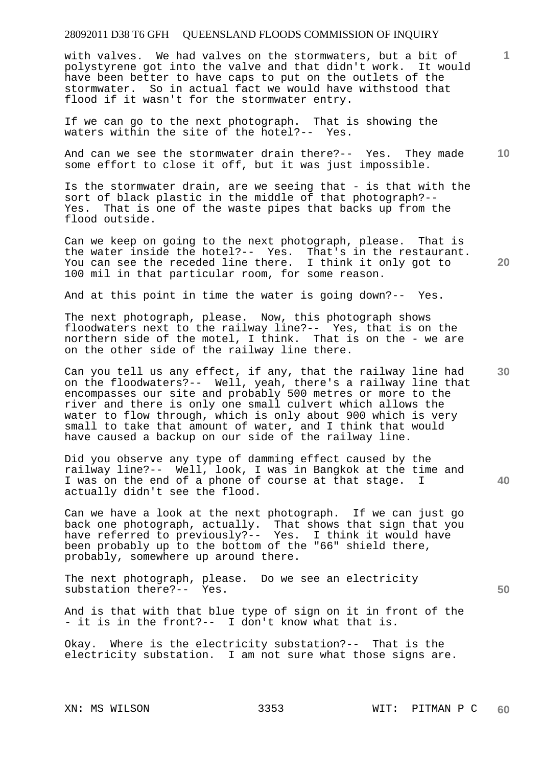with valves. We had valves on the stormwaters, but a bit of polystyrene got into the valve and that didn't work. It would have been better to have caps to put on the outlets of the stormwater. So in actual fact we would have withstood that flood if it wasn't for the stormwater entry.

If we can go to the next photograph. That is showing the waters within the site of the hotel?-- Yes.

**10**  And can we see the stormwater drain there?-- Yes. They made some effort to close it off, but it was just impossible.

Is the stormwater drain, are we seeing that - is that with the sort of black plastic in the middle of that photograph?-- Yes. That is one of the waste pipes that backs up from the flood outside.

Can we keep on going to the next photograph, please. That is the water inside the hotel?-- Yes. That's in the restaurant. You can see the receded line there. I think it only got to 100 mil in that particular room, for some reason.

And at this point in time the water is going down?-- Yes.

The next photograph, please. Now, this photograph shows floodwaters next to the railway line?-- Yes, that is on the northern side of the motel, I think. That is on the - we are on the other side of the railway line there.

Can you tell us any effect, if any, that the railway line had on the floodwaters?-- Well, yeah, there's a railway line that encompasses our site and probably 500 metres or more to the river and there is only one small culvert which allows the water to flow through, which is only about 900 which is very small to take that amount of water, and I think that would have caused a backup on our side of the railway line.

Did you observe any type of damming effect caused by the railway line?-- Well, look, I was in Bangkok at the time and I was on the end of a phone of course at that stage. I actually didn't see the flood.

Can we have a look at the next photograph. If we can just go back one photograph, actually. That shows that sign that you have referred to previously?-- Yes. I think it would have been probably up to the bottom of the "66" shield there, probably, somewhere up around there.

The next photograph, please. Do we see an electricity substation there?-- Yes.

And is that with that blue type of sign on it in front of the - it is in the front?-- I don't know what that is.

Okay. Where is the electricity substation?-- That is the electricity substation. I am not sure what those signs are.

**20** 

**1**

**40**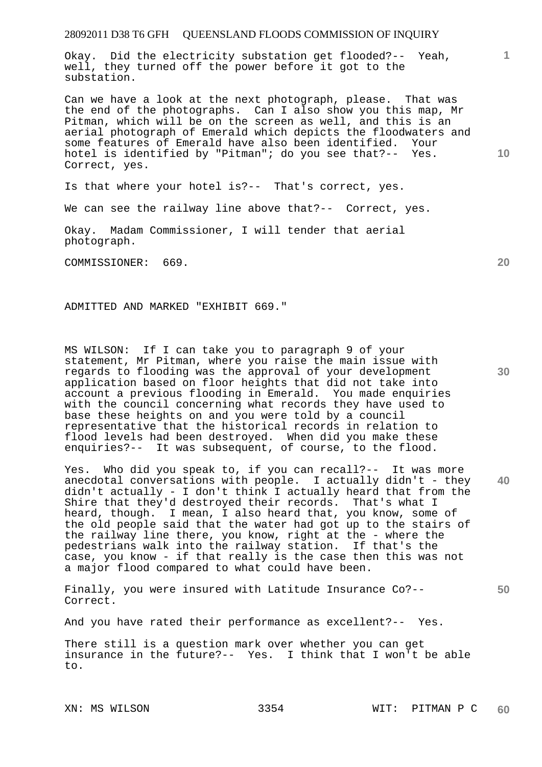Okay. Did the electricity substation get flooded?-- Yeah, well, they turned off the power before it got to the substation.

Can we have a look at the next photograph, please. That was the end of the photographs. Can I also show you this map, Mr Pitman, which will be on the screen as well, and this is an aerial photograph of Emerald which depicts the floodwaters and some features of Emerald have also been identified. Your hotel is identified by "Pitman"; do you see that?-- Yes. Correct, yes.

Is that where your hotel is?-- That's correct, yes.

We can see the railway line above that?-- Correct, yes.

Okay. Madam Commissioner, I will tender that aerial photograph.

COMMISSIONER: 669.

ADMITTED AND MARKED "EXHIBIT 669."

MS WILSON: If I can take you to paragraph 9 of your statement, Mr Pitman, where you raise the main issue with regards to flooding was the approval of your development application based on floor heights that did not take into account a previous flooding in Emerald. You made enquiries with the council concerning what records they have used to base these heights on and you were told by a council representative that the historical records in relation to flood levels had been destroyed. When did you make these enquiries?-- It was subsequent, of course, to the flood.

**40**  Yes. Who did you speak to, if you can recall?-- It was more anecdotal conversations with people. I actually didn't - they didn't actually - I don't think I actually heard that from the Shire that they'd destroyed their records. That's what I heard, though. I mean, I also heard that, you know, some of the old people said that the water had got up to the stairs of the railway line there, you know, right at the - where the pedestrians walk into the railway station. If that's the case, you know - if that really is the case then this was not a major flood compared to what could have been.

Finally, you were insured with Latitude Insurance Co?-- Correct.

And you have rated their performance as excellent?-- Yes.

There still is a question mark over whether you can get insurance in the future?-- Yes. I think that I won't be able to.

**20** 

**1**

**10**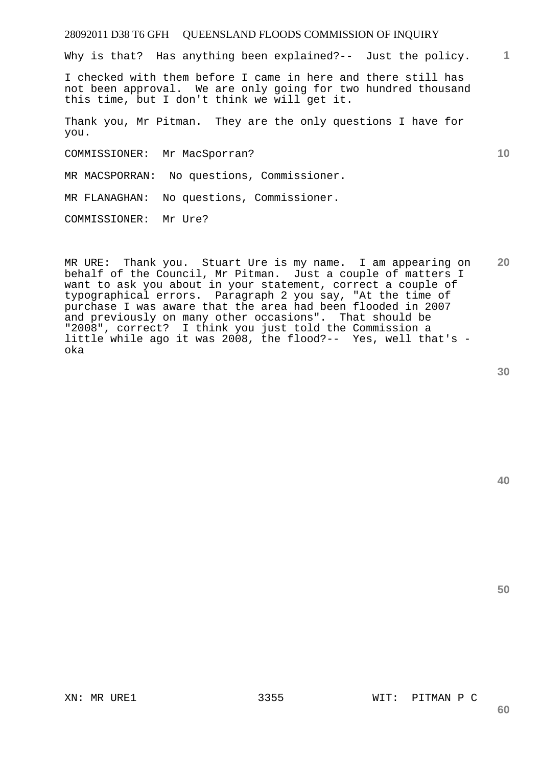Why is that? Has anything been explained?-- Just the policy.

I checked with them before I came in here and there still has not been approval. We are only going for two hundred thousand this time, but I don't think we will get it.

Thank you, Mr Pitman. They are the only questions I have for you.

COMMISSIONER: Mr MacSporran?

MR MACSPORRAN: No questions, Commissioner.

MR FLANAGHAN: No questions, Commissioner.

COMMISSIONER: Mr Ure?

**20**  MR URE: Thank you. Stuart Ure is my name. I am appearing on behalf of the Council, Mr Pitman. Just a couple of matters I want to ask you about in your statement, correct a couple of typographical errors. Paragraph 2 you say, "At the time of purchase I was aware that the area had been flooded in 2007 and previously on many other occasions". That should be "2008", correct? I think you just told the Commission a little while ago it was 2008, the flood?-- Yes, well that's oka

**30** 

**1**

**10** 

**50** 

## XN: MR URE1 3355 WIT: PITMAN P C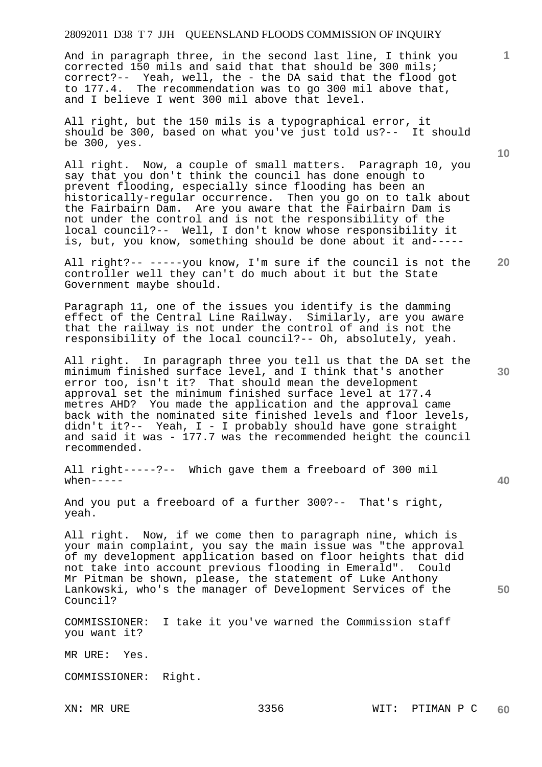And in paragraph three, in the second last line, I think you corrected 150 mils and said that that should be 300 mils; correct?-- Yeah, well, the - the DA said that the flood got to 177.4. The recommendation was to go 300 mil above that, and I believe I went 300 mil above that level.

All right, but the 150 mils is a typographical error, it should be 300, based on what you've just told us?-- It should be 300, yes.

All right. Now, a couple of small matters. Paragraph 10, you say that you don't think the council has done enough to prevent flooding, especially since flooding has been an historically-regular occurrence. Then you go on to talk about the Fairbairn Dam. Are you aware that the Fairbairn Dam is not under the control and is not the responsibility of the local council?-- Well, I don't know whose responsibility it is, but, you know, something should be done about it and-----

All right?-- -----you know, I'm sure if the council is not the controller well they can't do much about it but the State Government maybe should.

Paragraph 11, one of the issues you identify is the damming effect of the Central Line Railway. Similarly, are you aware that the railway is not under the control of and is not the responsibility of the local council?-- Oh, absolutely, yeah.

All right. In paragraph three you tell us that the DA set the minimum finished surface level, and I think that's another error too, isn't it? That should mean the development approval set the minimum finished surface level at 177.4 metres AHD? You made the application and the approval came back with the nominated site finished levels and floor levels, didn't it?-- Yeah, I - I probably should have gone straight and said it was - 177.7 was the recommended height the council recommended.

All right-----?-- Which gave them a freeboard of 300 mil  $when---$ 

And you put a freeboard of a further 300?-- That's right, yeah.

All right. Now, if we come then to paragraph nine, which is your main complaint, you say the main issue was "the approval of my development application based on floor heights that did not take into account previous flooding in Emerald". Could Mr Pitman be shown, please, the statement of Luke Anthony Lankowski, who's the manager of Development Services of the Council?

COMMISSIONER: I take it you've warned the Commission staff you want it?

MR URE: Yes.

COMMISSIONER: Right.

**10** 

**1**

**20** 

**30** 

**40**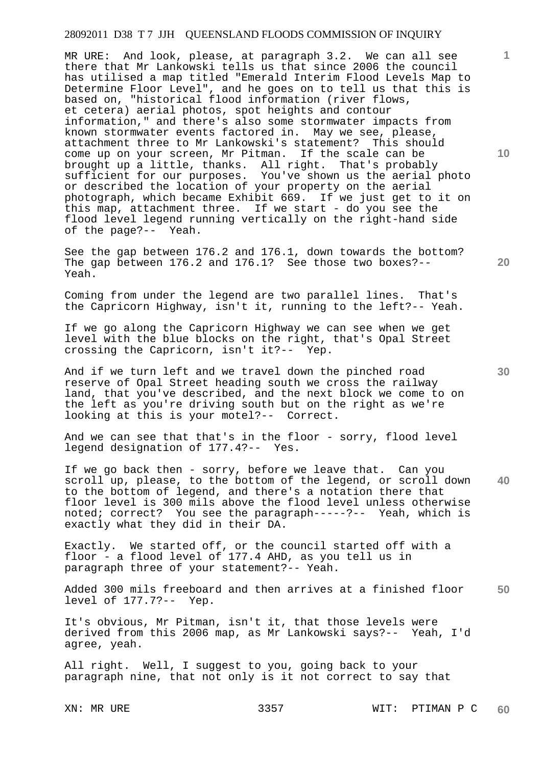MR URE: And look, please, at paragraph 3.2. We can all see there that Mr Lankowski tells us that since 2006 the council has utilised a map titled "Emerald Interim Flood Levels Map to Determine Floor Level", and he goes on to tell us that this is based on, "historical flood information (river flows, et cetera) aerial photos, spot heights and contour information," and there's also some stormwater impacts from known stormwater events factored in. May we see, please, attachment three to Mr Lankowski's statement? This should come up on your screen, Mr Pitman. If the scale can be brought up a little, thanks. All right. That's probably sufficient for our purposes. You've shown us the aerial photo or described the location of your property on the aerial photograph, which became Exhibit 669. If we just get to it on this map, attachment three. If we start - do you see the flood level legend running vertically on the right-hand side of the page?-- Yeah.

See the gap between 176.2 and 176.1, down towards the bottom? The gap between 176.2 and 176.1? See those two boxes?-- Yeah.

Coming from under the legend are two parallel lines. That's the Capricorn Highway, isn't it, running to the left?-- Yeah.

If we go along the Capricorn Highway we can see when we get level with the blue blocks on the right, that's Opal Street crossing the Capricorn, isn't it?-- Yep.

And if we turn left and we travel down the pinched road reserve of Opal Street heading south we cross the railway land, that you've described, and the next block we come to on the left as you're driving south but on the right as we're looking at this is your motel?-- Correct.

And we can see that that's in the floor - sorry, flood level legend designation of 177.4?-- Yes.

**40**  If we go back then - sorry, before we leave that. Can you scroll up, please, to the bottom of the legend, or scroll down to the bottom of legend, and there's a notation there that floor level is 300 mils above the flood level unless otherwise noted; correct? You see the paragraph-----?-- Yeah, which is exactly what they did in their DA.

Exactly. We started off, or the council started off with a floor - a flood level of 177.4 AHD, as you tell us in paragraph three of your statement?-- Yeah.

**50**  Added 300 mils freeboard and then arrives at a finished floor level of 177.7?-- Yep.

It's obvious, Mr Pitman, isn't it, that those levels were derived from this 2006 map, as Mr Lankowski says?-- Yeah, I'd agree, yeah.

All right. Well, I suggest to you, going back to your paragraph nine, that not only is it not correct to say that

**10** 

**1**

**30**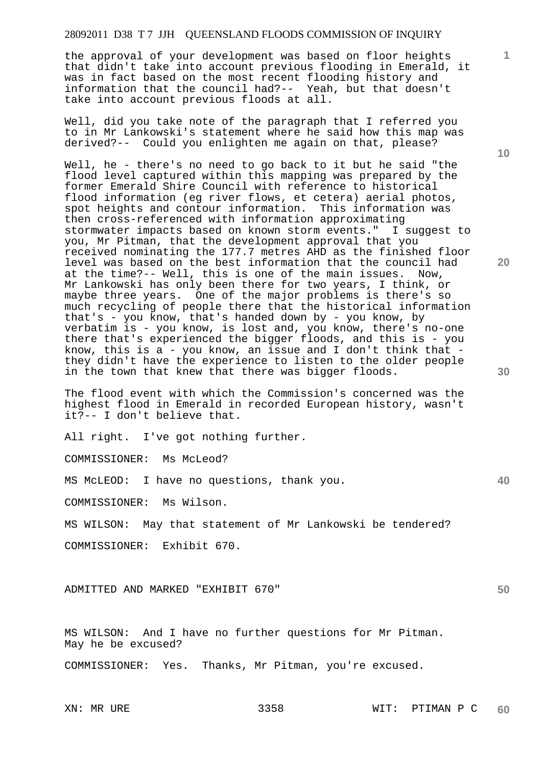the approval of your development was based on floor heights that didn't take into account previous flooding in Emerald, it was in fact based on the most recent flooding history and information that the council had?-- Yeah, but that doesn't take into account previous floods at all.

Well, did you take note of the paragraph that I referred you to in Mr Lankowski's statement where he said how this map was derived?-- Could you enlighten me again on that, please?

Well, he - there's no need to go back to it but he said "the flood level captured within this mapping was prepared by the former Emerald Shire Council with reference to historical flood information (eg river flows, et cetera) aerial photos, spot heights and contour information. This information was then cross-referenced with information approximating stormwater impacts based on known storm events." I suggest to you, Mr Pitman, that the development approval that you received nominating the 177.7 metres AHD as the finished floor level was based on the best information that the council had at the time?-- Well, this is one of the main issues. Now, Mr Lankowski has only been there for two years, I think, or maybe three years. One of the major problems is there's so much recycling of people there that the historical information that's - you know, that's handed down by - you know, by verbatim is - you know, is lost and, you know, there's no-one there that's experienced the bigger floods, and this is - you know, this is a - you know, an issue and I don't think that they didn't have the experience to listen to the older people in the town that knew that there was bigger floods.

The flood event with which the Commission's concerned was the highest flood in Emerald in recorded European history, wasn't it?-- I don't believe that.

All right. I've got nothing further.

COMMISSIONER: Ms McLeod?

MS McLEOD: I have no questions, thank you.

COMMISSIONER: Ms Wilson.

MS WILSON: May that statement of Mr Lankowski be tendered?

COMMISSIONER: Exhibit 670.

ADMITTED AND MARKED "EXHIBIT 670"

MS WILSON: And I have no further questions for Mr Pitman. May he be excused?

COMMISSIONER: Yes. Thanks, Mr Pitman, you're excused.

**10** 

**1**

**40** 

**50**